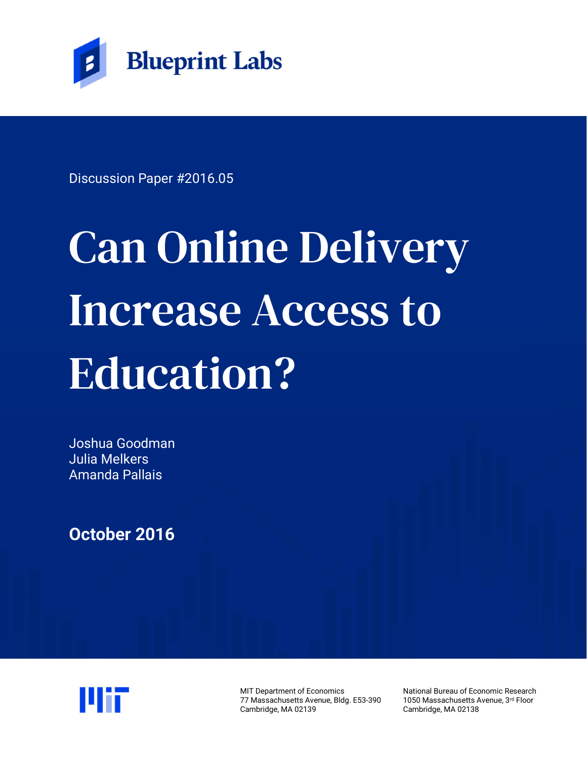

Discussion Paper #2016.05

# Can Online Delivery Increase Access to Education?

Joshua Goodman Julia Melkers Amanda Pallais

**October 2016**



MIT Department of Economics 77 Massachusetts Avenue, Bldg. E53-390 Cambridge, MA 02139

National Bureau of Economic Research 1050 Massachusetts Avenue, 3rd Floor Cambridge, MA 02138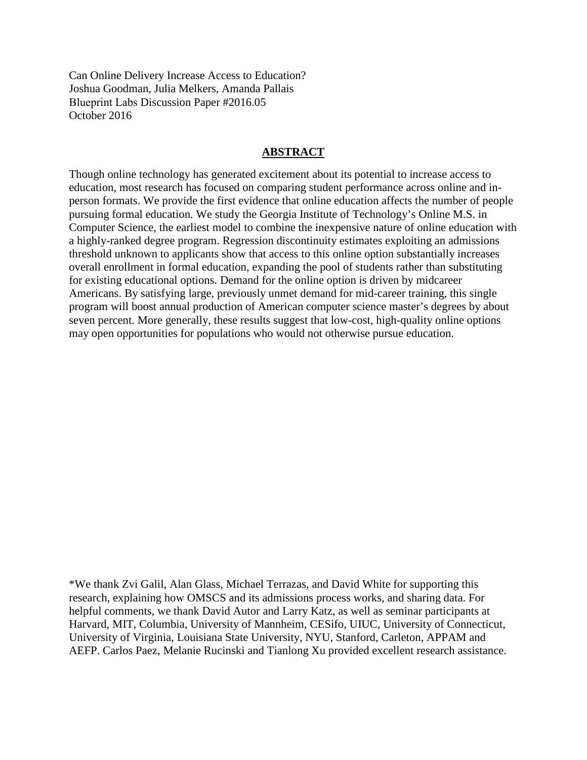Can Online Delivery Increase Access to Education? Joshua Goodman, Julia Melkers, Amanda Pallais Blueprint Labs Discussion Paper #2016.05 October 2016

#### **ABSTRACT**

Though online technology has generated excitement about its potential to increase access to education, most research has focused on comparing student performance across online and inperson formats. We provide the first evidence that online education affects the number of people pursuing formal education. We study the Georgia Institute of Technology's Online M.S. in Computer Science, the earliest model to combine the inexpensive nature of online education with a highly-ranked degree program. Regression discontinuity estimates exploiting an admissions threshold unknown to applicants show that access to this online option substantially increases overall enrollment in formal education, expanding the pool of students rather than substituting for existing educational options. Demand for the online option is driven by midcareer Americans. By satisfying large, previously unmet demand for mid-career training, this single program will boost annual production of American computer science master's degrees by about seven percent. More generally, these results suggest that low-cost, high-quality online options may open opportunities for populations who would not otherwise pursue education.

\*We thank Zvi Galil, Alan Glass, Michael Terrazas, and David White for supporting this research, explaining how OMSCS and its admissions process works, and sharing data. For helpful comments, we thank David Autor and Larry Katz, as well as seminar participants at Harvard, MIT, Columbia, University of Mannheim, CESifo, UIUC, University of Connecticut, University of Virginia, Louisiana State University, NYU, Stanford, Carleton, APPAM and AEFP. Carlos Paez, Melanie Rucinski and Tianlong Xu provided excellent research assistance.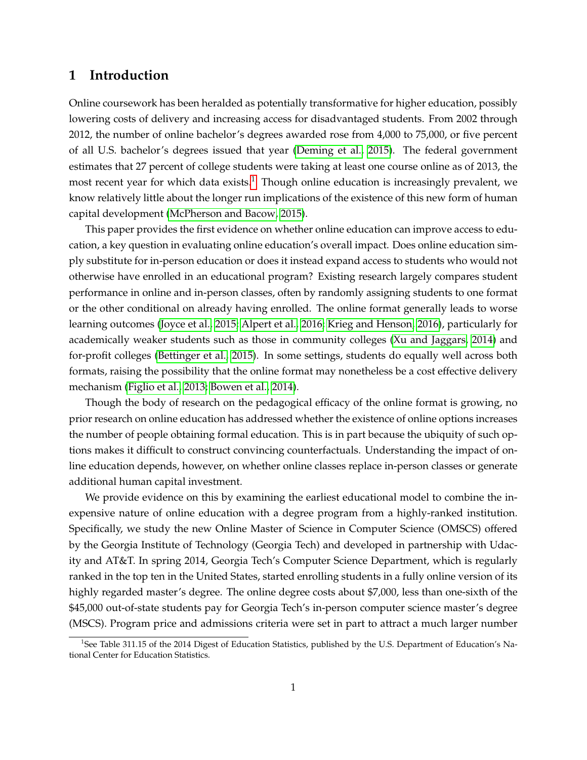## **1 Introduction**

Online coursework has been heralded as potentially transformative for higher education, possibly lowering costs of delivery and increasing access for disadvantaged students. From 2002 through 2012, the number of online bachelor's degrees awarded rose from 4,000 to 75,000, or five percent of all U.S. bachelor's degrees issued that year [\(Deming et al., 2015\)](#page-17-0). The federal government estimates that 27 percent of college students were taking at least one course online as of 2013, the most recent year for which data exists.<sup>[1](#page-2-0)</sup> Though online education is increasingly prevalent, we know relatively little about the longer run implications of the existence of this new form of human capital development [\(McPherson and Bacow, 2015\)](#page-18-0).

This paper provides the first evidence on whether online education can improve access to education, a key question in evaluating online education's overall impact. Does online education simply substitute for in-person education or does it instead expand access to students who would not otherwise have enrolled in an educational program? Existing research largely compares student performance in online and in-person classes, often by randomly assigning students to one format or the other conditional on already having enrolled. The online format generally leads to worse learning outcomes [\(Joyce et al., 2015;](#page-17-1) [Alpert et al., 2016;](#page-17-2) [Krieg and Henson, 2016\)](#page-17-3), particularly for academically weaker students such as those in community colleges [\(Xu and Jaggars, 2014\)](#page-18-1) and for-profit colleges [\(Bettinger et al., 2015\)](#page-17-4). In some settings, students do equally well across both formats, raising the possibility that the online format may nonetheless be a cost effective delivery mechanism [\(Figlio et al., 2013;](#page-17-5) [Bowen et al., 2014\)](#page-17-6).

Though the body of research on the pedagogical efficacy of the online format is growing, no prior research on online education has addressed whether the existence of online options increases the number of people obtaining formal education. This is in part because the ubiquity of such options makes it difficult to construct convincing counterfactuals. Understanding the impact of online education depends, however, on whether online classes replace in-person classes or generate additional human capital investment.

We provide evidence on this by examining the earliest educational model to combine the inexpensive nature of online education with a degree program from a highly-ranked institution. Specifically, we study the new Online Master of Science in Computer Science (OMSCS) offered by the Georgia Institute of Technology (Georgia Tech) and developed in partnership with Udacity and AT&T. In spring 2014, Georgia Tech's Computer Science Department, which is regularly ranked in the top ten in the United States, started enrolling students in a fully online version of its highly regarded master's degree. The online degree costs about \$7,000, less than one-sixth of the \$45,000 out-of-state students pay for Georgia Tech's in-person computer science master's degree (MSCS). Program price and admissions criteria were set in part to attract a much larger number

<span id="page-2-0"></span><sup>&</sup>lt;sup>1</sup>See Table 311.15 of the 2014 Digest of Education Statistics, published by the U.S. Department of Education's National Center for Education Statistics.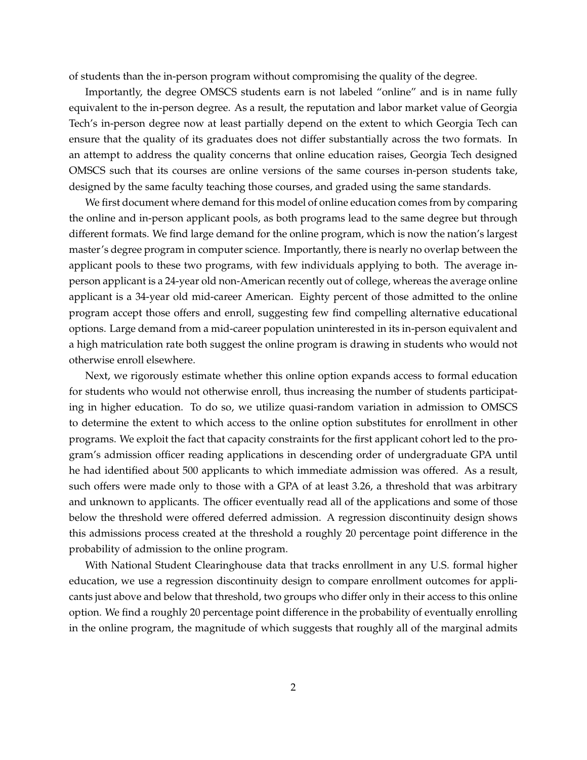of students than the in-person program without compromising the quality of the degree.

Importantly, the degree OMSCS students earn is not labeled "online" and is in name fully equivalent to the in-person degree. As a result, the reputation and labor market value of Georgia Tech's in-person degree now at least partially depend on the extent to which Georgia Tech can ensure that the quality of its graduates does not differ substantially across the two formats. In an attempt to address the quality concerns that online education raises, Georgia Tech designed OMSCS such that its courses are online versions of the same courses in-person students take, designed by the same faculty teaching those courses, and graded using the same standards.

We first document where demand for this model of online education comes from by comparing the online and in-person applicant pools, as both programs lead to the same degree but through different formats. We find large demand for the online program, which is now the nation's largest master's degree program in computer science. Importantly, there is nearly no overlap between the applicant pools to these two programs, with few individuals applying to both. The average inperson applicant is a 24-year old non-American recently out of college, whereas the average online applicant is a 34-year old mid-career American. Eighty percent of those admitted to the online program accept those offers and enroll, suggesting few find compelling alternative educational options. Large demand from a mid-career population uninterested in its in-person equivalent and a high matriculation rate both suggest the online program is drawing in students who would not otherwise enroll elsewhere.

Next, we rigorously estimate whether this online option expands access to formal education for students who would not otherwise enroll, thus increasing the number of students participating in higher education. To do so, we utilize quasi-random variation in admission to OMSCS to determine the extent to which access to the online option substitutes for enrollment in other programs. We exploit the fact that capacity constraints for the first applicant cohort led to the program's admission officer reading applications in descending order of undergraduate GPA until he had identified about 500 applicants to which immediate admission was offered. As a result, such offers were made only to those with a GPA of at least 3.26, a threshold that was arbitrary and unknown to applicants. The officer eventually read all of the applications and some of those below the threshold were offered deferred admission. A regression discontinuity design shows this admissions process created at the threshold a roughly 20 percentage point difference in the probability of admission to the online program.

With National Student Clearinghouse data that tracks enrollment in any U.S. formal higher education, we use a regression discontinuity design to compare enrollment outcomes for applicants just above and below that threshold, two groups who differ only in their access to this online option. We find a roughly 20 percentage point difference in the probability of eventually enrolling in the online program, the magnitude of which suggests that roughly all of the marginal admits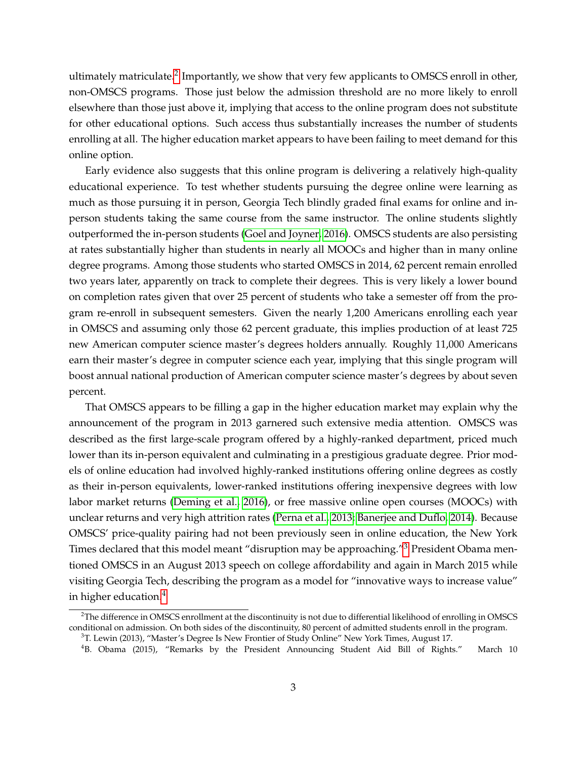ultimately matriculate. $^2$  $^2$  Importantly, we show that very few applicants to OMSCS enroll in other, non-OMSCS programs. Those just below the admission threshold are no more likely to enroll elsewhere than those just above it, implying that access to the online program does not substitute for other educational options. Such access thus substantially increases the number of students enrolling at all. The higher education market appears to have been failing to meet demand for this online option.

Early evidence also suggests that this online program is delivering a relatively high-quality educational experience. To test whether students pursuing the degree online were learning as much as those pursuing it in person, Georgia Tech blindly graded final exams for online and inperson students taking the same course from the same instructor. The online students slightly outperformed the in-person students [\(Goel and Joyner, 2016\)](#page-17-7). OMSCS students are also persisting at rates substantially higher than students in nearly all MOOCs and higher than in many online degree programs. Among those students who started OMSCS in 2014, 62 percent remain enrolled two years later, apparently on track to complete their degrees. This is very likely a lower bound on completion rates given that over 25 percent of students who take a semester off from the program re-enroll in subsequent semesters. Given the nearly 1,200 Americans enrolling each year in OMSCS and assuming only those 62 percent graduate, this implies production of at least 725 new American computer science master's degrees holders annually. Roughly 11,000 Americans earn their master's degree in computer science each year, implying that this single program will boost annual national production of American computer science master's degrees by about seven percent.

That OMSCS appears to be filling a gap in the higher education market may explain why the announcement of the program in 2013 garnered such extensive media attention. OMSCS was described as the first large-scale program offered by a highly-ranked department, priced much lower than its in-person equivalent and culminating in a prestigious graduate degree. Prior models of online education had involved highly-ranked institutions offering online degrees as costly as their in-person equivalents, lower-ranked institutions offering inexpensive degrees with low labor market returns [\(Deming et al., 2016\)](#page-17-8), or free massive online open courses (MOOCs) with unclear returns and very high attrition rates [\(Perna et al., 2013;](#page-18-2) [Banerjee and Duflo, 2014\)](#page-17-9). Because OMSCS' price-quality pairing had not been previously seen in online education, the New York Times declared that this model meant "disruption may be approaching."<sup>[3](#page-4-1)</sup> President Obama mentioned OMSCS in an August 2013 speech on college affordability and again in March 2015 while visiting Georgia Tech, describing the program as a model for "innovative ways to increase value" in higher education.[4](#page-4-2)

<span id="page-4-0"></span><sup>&</sup>lt;sup>2</sup>The difference in OMSCS enrollment at the discontinuity is not due to differential likelihood of enrolling in OMSCS conditional on admission. On both sides of the discontinuity, 80 percent of admitted students enroll in the program.

<span id="page-4-1"></span><sup>3</sup>T. Lewin (2013), "Master's Degree Is New Frontier of Study Online" New York Times, August 17.

<span id="page-4-2"></span><sup>4</sup>B. Obama (2015), "Remarks by the President Announcing Student Aid Bill of Rights." March 10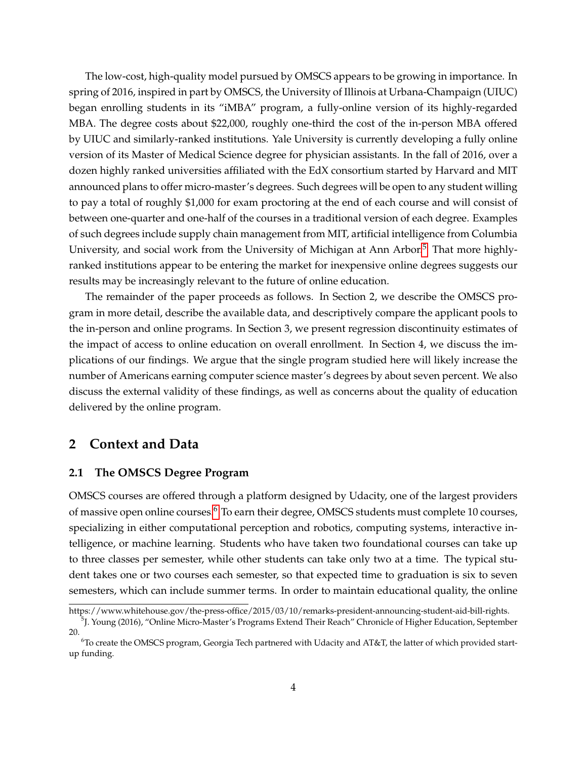The low-cost, high-quality model pursued by OMSCS appears to be growing in importance. In spring of 2016, inspired in part by OMSCS, the University of Illinois at Urbana-Champaign (UIUC) began enrolling students in its "iMBA" program, a fully-online version of its highly-regarded MBA. The degree costs about \$22,000, roughly one-third the cost of the in-person MBA offered by UIUC and similarly-ranked institutions. Yale University is currently developing a fully online version of its Master of Medical Science degree for physician assistants. In the fall of 2016, over a dozen highly ranked universities affiliated with the EdX consortium started by Harvard and MIT announced plans to offer micro-master's degrees. Such degrees will be open to any student willing to pay a total of roughly \$1,000 for exam proctoring at the end of each course and will consist of between one-quarter and one-half of the courses in a traditional version of each degree. Examples of such degrees include supply chain management from MIT, artificial intelligence from Columbia University, and social work from the University of Michigan at Ann Arbor.<sup>[5](#page-5-0)</sup> That more highlyranked institutions appear to be entering the market for inexpensive online degrees suggests our results may be increasingly relevant to the future of online education.

The remainder of the paper proceeds as follows. In Section 2, we describe the OMSCS program in more detail, describe the available data, and descriptively compare the applicant pools to the in-person and online programs. In Section 3, we present regression discontinuity estimates of the impact of access to online education on overall enrollment. In Section 4, we discuss the implications of our findings. We argue that the single program studied here will likely increase the number of Americans earning computer science master's degrees by about seven percent. We also discuss the external validity of these findings, as well as concerns about the quality of education delivered by the online program.

## **2 Context and Data**

#### **2.1 The OMSCS Degree Program**

OMSCS courses are offered through a platform designed by Udacity, one of the largest providers of massive open online courses.<sup>[6](#page-5-1)</sup> To earn their degree, OMSCS students must complete 10 courses, specializing in either computational perception and robotics, computing systems, interactive intelligence, or machine learning. Students who have taken two foundational courses can take up to three classes per semester, while other students can take only two at a time. The typical student takes one or two courses each semester, so that expected time to graduation is six to seven semesters, which can include summer terms. In order to maintain educational quality, the online

https://www.whitehouse.gov/the-press-office/2015/03/10/remarks-president-announcing-student-aid-bill-rights.

<span id="page-5-0"></span><sup>5</sup> J. Young (2016), "Online Micro-Master's Programs Extend Their Reach" Chronicle of Higher Education, September 20.

<span id="page-5-1"></span><sup>6</sup>To create the OMSCS program, Georgia Tech partnered with Udacity and AT&T, the latter of which provided startup funding.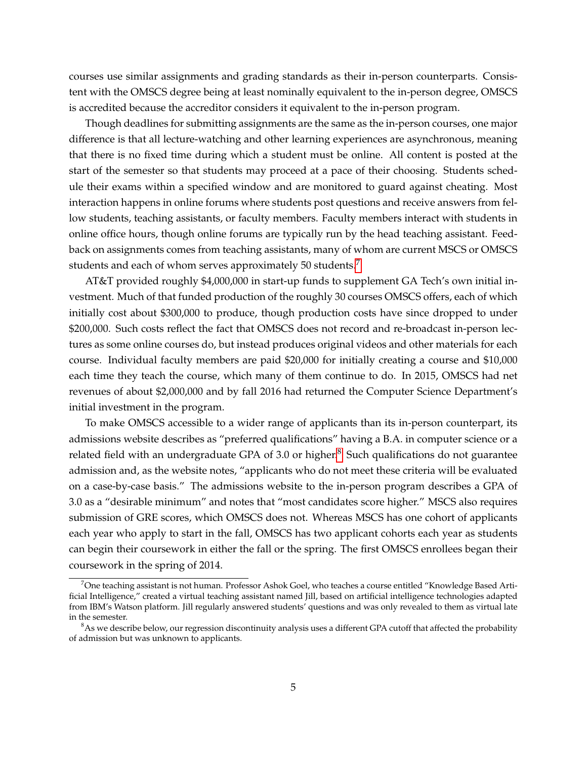courses use similar assignments and grading standards as their in-person counterparts. Consistent with the OMSCS degree being at least nominally equivalent to the in-person degree, OMSCS is accredited because the accreditor considers it equivalent to the in-person program.

Though deadlines for submitting assignments are the same as the in-person courses, one major difference is that all lecture-watching and other learning experiences are asynchronous, meaning that there is no fixed time during which a student must be online. All content is posted at the start of the semester so that students may proceed at a pace of their choosing. Students schedule their exams within a specified window and are monitored to guard against cheating. Most interaction happens in online forums where students post questions and receive answers from fellow students, teaching assistants, or faculty members. Faculty members interact with students in online office hours, though online forums are typically run by the head teaching assistant. Feedback on assignments comes from teaching assistants, many of whom are current MSCS or OMSCS students and each of whom serves approximately 50 students.<sup>[7](#page-6-0)</sup>

AT&T provided roughly \$4,000,000 in start-up funds to supplement GA Tech's own initial investment. Much of that funded production of the roughly 30 courses OMSCS offers, each of which initially cost about \$300,000 to produce, though production costs have since dropped to under \$200,000. Such costs reflect the fact that OMSCS does not record and re-broadcast in-person lectures as some online courses do, but instead produces original videos and other materials for each course. Individual faculty members are paid \$20,000 for initially creating a course and \$10,000 each time they teach the course, which many of them continue to do. In 2015, OMSCS had net revenues of about \$2,000,000 and by fall 2016 had returned the Computer Science Department's initial investment in the program.

To make OMSCS accessible to a wider range of applicants than its in-person counterpart, its admissions website describes as "preferred qualifications" having a B.A. in computer science or a related field with an undergraduate GPA of 3.0 or higher. $8$  Such qualifications do not guarantee admission and, as the website notes, "applicants who do not meet these criteria will be evaluated on a case-by-case basis." The admissions website to the in-person program describes a GPA of 3.0 as a "desirable minimum" and notes that "most candidates score higher." MSCS also requires submission of GRE scores, which OMSCS does not. Whereas MSCS has one cohort of applicants each year who apply to start in the fall, OMSCS has two applicant cohorts each year as students can begin their coursework in either the fall or the spring. The first OMSCS enrollees began their coursework in the spring of 2014.

<span id="page-6-0"></span> $^7$ One teaching assistant is not human. Professor Ashok Goel, who teaches a course entitled "Knowledge Based Artificial Intelligence," created a virtual teaching assistant named Jill, based on artificial intelligence technologies adapted from IBM's Watson platform. Jill regularly answered students' questions and was only revealed to them as virtual late in the semester.

<span id="page-6-1"></span> $8$ As we describe below, our regression discontinuity analysis uses a different GPA cutoff that affected the probability of admission but was unknown to applicants.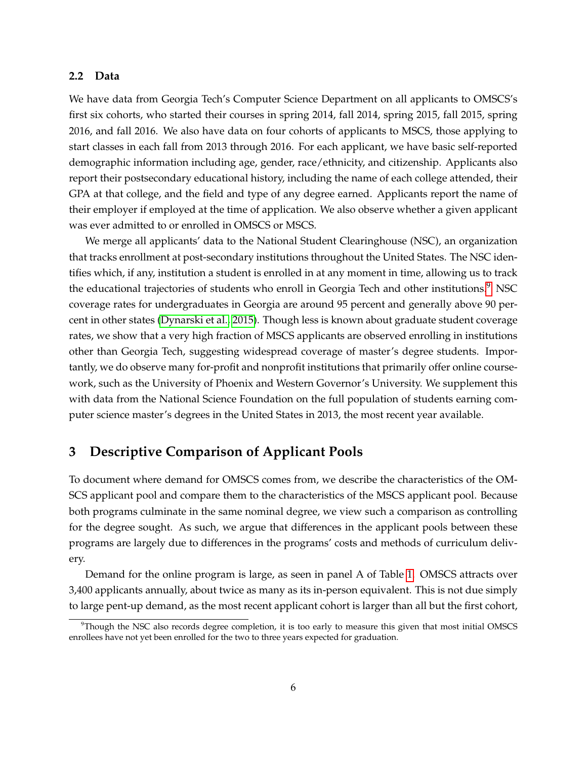#### **2.2 Data**

We have data from Georgia Tech's Computer Science Department on all applicants to OMSCS's first six cohorts, who started their courses in spring 2014, fall 2014, spring 2015, fall 2015, spring 2016, and fall 2016. We also have data on four cohorts of applicants to MSCS, those applying to start classes in each fall from 2013 through 2016. For each applicant, we have basic self-reported demographic information including age, gender, race/ethnicity, and citizenship. Applicants also report their postsecondary educational history, including the name of each college attended, their GPA at that college, and the field and type of any degree earned. Applicants report the name of their employer if employed at the time of application. We also observe whether a given applicant was ever admitted to or enrolled in OMSCS or MSCS.

We merge all applicants' data to the National Student Clearinghouse (NSC), an organization that tracks enrollment at post-secondary institutions throughout the United States. The NSC identifies which, if any, institution a student is enrolled in at any moment in time, allowing us to track the educational trajectories of students who enroll in Georgia Tech and other institutions.<sup>[9](#page-7-0)</sup> NSC coverage rates for undergraduates in Georgia are around 95 percent and generally above 90 percent in other states [\(Dynarski et al., 2015\)](#page-17-10). Though less is known about graduate student coverage rates, we show that a very high fraction of MSCS applicants are observed enrolling in institutions other than Georgia Tech, suggesting widespread coverage of master's degree students. Importantly, we do observe many for-profit and nonprofit institutions that primarily offer online coursework, such as the University of Phoenix and Western Governor's University. We supplement this with data from the National Science Foundation on the full population of students earning computer science master's degrees in the United States in 2013, the most recent year available.

# **3 Descriptive Comparison of Applicant Pools**

To document where demand for OMSCS comes from, we describe the characteristics of the OM-SCS applicant pool and compare them to the characteristics of the MSCS applicant pool. Because both programs culminate in the same nominal degree, we view such a comparison as controlling for the degree sought. As such, we argue that differences in the applicant pools between these programs are largely due to differences in the programs' costs and methods of curriculum delivery.

Demand for the online program is large, as seen in panel A of Table [1.](#page-24-0) OMSCS attracts over 3,400 applicants annually, about twice as many as its in-person equivalent. This is not due simply to large pent-up demand, as the most recent applicant cohort is larger than all but the first cohort,

<span id="page-7-0"></span><sup>9</sup>Though the NSC also records degree completion, it is too early to measure this given that most initial OMSCS enrollees have not yet been enrolled for the two to three years expected for graduation.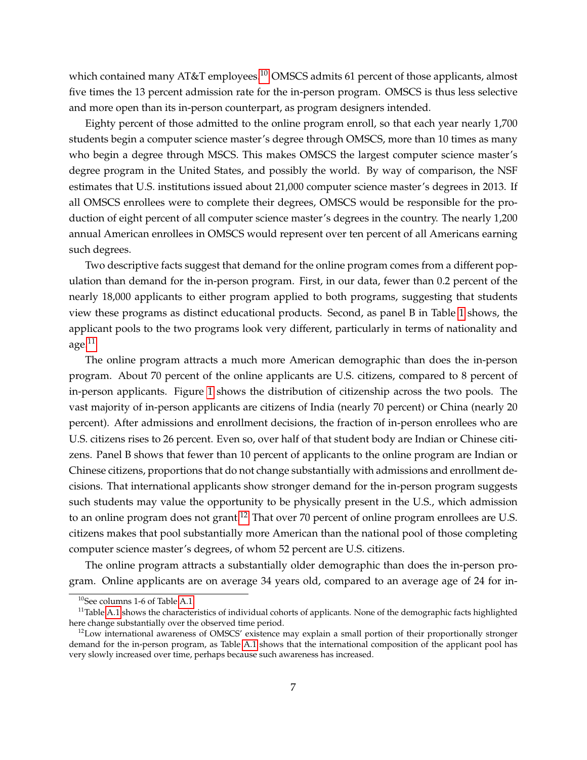which contained many AT&T employees.<sup>[10](#page-8-0)</sup> OMSCS admits 61 percent of those applicants, almost five times the 13 percent admission rate for the in-person program. OMSCS is thus less selective and more open than its in-person counterpart, as program designers intended.

Eighty percent of those admitted to the online program enroll, so that each year nearly 1,700 students begin a computer science master's degree through OMSCS, more than 10 times as many who begin a degree through MSCS. This makes OMSCS the largest computer science master's degree program in the United States, and possibly the world. By way of comparison, the NSF estimates that U.S. institutions issued about 21,000 computer science master's degrees in 2013. If all OMSCS enrollees were to complete their degrees, OMSCS would be responsible for the production of eight percent of all computer science master's degrees in the country. The nearly 1,200 annual American enrollees in OMSCS would represent over ten percent of all Americans earning such degrees.

Two descriptive facts suggest that demand for the online program comes from a different population than demand for the in-person program. First, in our data, fewer than 0.2 percent of the nearly 18,000 applicants to either program applied to both programs, suggesting that students view these programs as distinct educational products. Second, as panel B in Table [1](#page-24-0) shows, the applicant pools to the two programs look very different, particularly in terms of nationality and age.[11](#page-8-1)

The online program attracts a much more American demographic than does the in-person program. About 70 percent of the online applicants are U.S. citizens, compared to 8 percent of in-person applicants. Figure [1](#page-19-0) shows the distribution of citizenship across the two pools. The vast majority of in-person applicants are citizens of India (nearly 70 percent) or China (nearly 20 percent). After admissions and enrollment decisions, the fraction of in-person enrollees who are U.S. citizens rises to 26 percent. Even so, over half of that student body are Indian or Chinese citizens. Panel B shows that fewer than 10 percent of applicants to the online program are Indian or Chinese citizens, proportions that do not change substantially with admissions and enrollment decisions. That international applicants show stronger demand for the in-person program suggests such students may value the opportunity to be physically present in the U.S., which admission to an online program does not grant.<sup>[12](#page-8-2)</sup> That over 70 percent of online program enrollees are U.S. citizens makes that pool substantially more American than the national pool of those completing computer science master's degrees, of whom 52 percent are U.S. citizens.

The online program attracts a substantially older demographic than does the in-person program. Online applicants are on average 34 years old, compared to an average age of 24 for in-

<span id="page-8-1"></span><span id="page-8-0"></span><sup>10</sup>See columns 1-6 of Table [A.1.](#page-35-0)

 $11$ Table [A.1](#page-35-0) shows the characteristics of individual cohorts of applicants. None of the demographic facts highlighted here change substantially over the observed time period.

<span id="page-8-2"></span> $12$ Low international awareness of OMSCS' existence may explain a small portion of their proportionally stronger demand for the in-person program, as Table [A.1](#page-35-0) shows that the international composition of the applicant pool has very slowly increased over time, perhaps because such awareness has increased.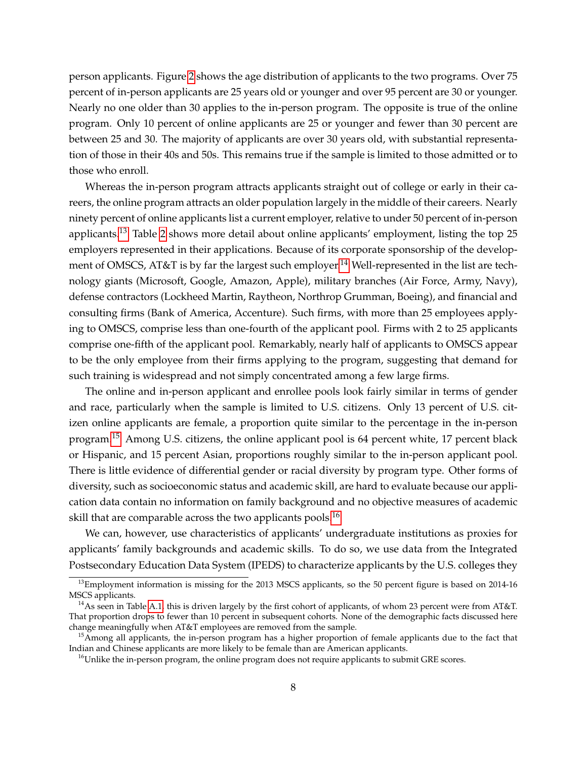person applicants. Figure [2](#page-20-0) shows the age distribution of applicants to the two programs. Over 75 percent of in-person applicants are 25 years old or younger and over 95 percent are 30 or younger. Nearly no one older than 30 applies to the in-person program. The opposite is true of the online program. Only 10 percent of online applicants are 25 or younger and fewer than 30 percent are between 25 and 30. The majority of applicants are over 30 years old, with substantial representation of those in their 40s and 50s. This remains true if the sample is limited to those admitted or to those who enroll.

Whereas the in-person program attracts applicants straight out of college or early in their careers, the online program attracts an older population largely in the middle of their careers. Nearly ninety percent of online applicants list a current employer, relative to under 50 percent of in-person applicants.<sup>[13](#page-9-0)</sup> Table [2](#page-25-0) shows more detail about online applicants' employment, listing the top 25 employers represented in their applications. Because of its corporate sponsorship of the develop-ment of OMSCS, AT&T is by far the largest such employer.<sup>[14](#page-9-1)</sup> Well-represented in the list are technology giants (Microsoft, Google, Amazon, Apple), military branches (Air Force, Army, Navy), defense contractors (Lockheed Martin, Raytheon, Northrop Grumman, Boeing), and financial and consulting firms (Bank of America, Accenture). Such firms, with more than 25 employees applying to OMSCS, comprise less than one-fourth of the applicant pool. Firms with 2 to 25 applicants comprise one-fifth of the applicant pool. Remarkably, nearly half of applicants to OMSCS appear to be the only employee from their firms applying to the program, suggesting that demand for such training is widespread and not simply concentrated among a few large firms.

The online and in-person applicant and enrollee pools look fairly similar in terms of gender and race, particularly when the sample is limited to U.S. citizens. Only 13 percent of U.S. citizen online applicants are female, a proportion quite similar to the percentage in the in-person program.[15](#page-9-2) Among U.S. citizens, the online applicant pool is 64 percent white, 17 percent black or Hispanic, and 15 percent Asian, proportions roughly similar to the in-person applicant pool. There is little evidence of differential gender or racial diversity by program type. Other forms of diversity, such as socioeconomic status and academic skill, are hard to evaluate because our application data contain no information on family background and no objective measures of academic skill that are comparable across the two applicants pools.<sup>[16](#page-9-3)</sup>

We can, however, use characteristics of applicants' undergraduate institutions as proxies for applicants' family backgrounds and academic skills. To do so, we use data from the Integrated Postsecondary Education Data System (IPEDS) to characterize applicants by the U.S. colleges they

<span id="page-9-0"></span><sup>&</sup>lt;sup>13</sup>Employment information is missing for the 2013 MSCS applicants, so the 50 percent figure is based on 2014-16 MSCS applicants.

<span id="page-9-1"></span><sup>&</sup>lt;sup>14</sup>As seen in Table [A.1,](#page-35-0) this is driven largely by the first cohort of applicants, of whom 23 percent were from AT&T. That proportion drops to fewer than 10 percent in subsequent cohorts. None of the demographic facts discussed here change meaningfully when AT&T employees are removed from the sample.

<span id="page-9-2"></span><sup>&</sup>lt;sup>15</sup> Among all applicants, the in-person program has a higher proportion of female applicants due to the fact that Indian and Chinese applicants are more likely to be female than are American applicants.

<span id="page-9-3"></span> $<sup>16</sup>$ Unlike the in-person program, the online program does not require applicants to submit GRE scores.</sup>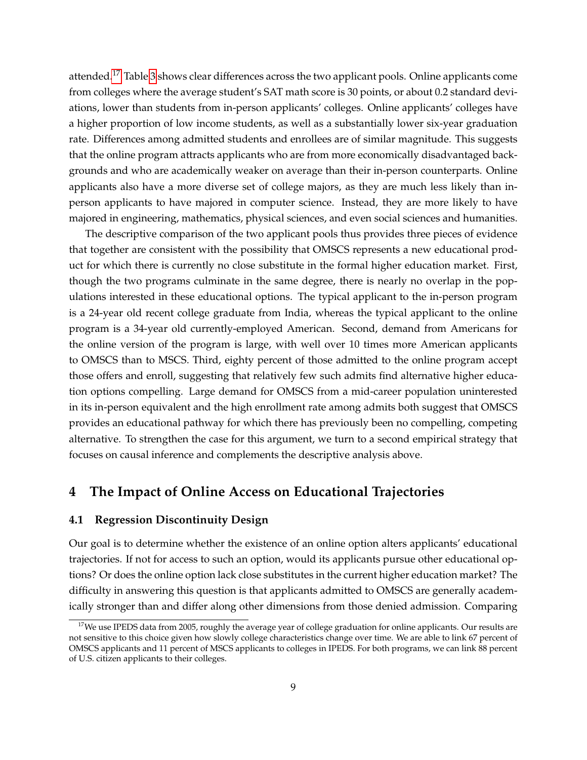attended.<sup>[17](#page-10-0)</sup> Table [3](#page-26-0) shows clear differences across the two applicant pools. Online applicants come from colleges where the average student's SAT math score is 30 points, or about 0.2 standard deviations, lower than students from in-person applicants' colleges. Online applicants' colleges have a higher proportion of low income students, as well as a substantially lower six-year graduation rate. Differences among admitted students and enrollees are of similar magnitude. This suggests that the online program attracts applicants who are from more economically disadvantaged backgrounds and who are academically weaker on average than their in-person counterparts. Online applicants also have a more diverse set of college majors, as they are much less likely than inperson applicants to have majored in computer science. Instead, they are more likely to have majored in engineering, mathematics, physical sciences, and even social sciences and humanities.

The descriptive comparison of the two applicant pools thus provides three pieces of evidence that together are consistent with the possibility that OMSCS represents a new educational product for which there is currently no close substitute in the formal higher education market. First, though the two programs culminate in the same degree, there is nearly no overlap in the populations interested in these educational options. The typical applicant to the in-person program is a 24-year old recent college graduate from India, whereas the typical applicant to the online program is a 34-year old currently-employed American. Second, demand from Americans for the online version of the program is large, with well over 10 times more American applicants to OMSCS than to MSCS. Third, eighty percent of those admitted to the online program accept those offers and enroll, suggesting that relatively few such admits find alternative higher education options compelling. Large demand for OMSCS from a mid-career population uninterested in its in-person equivalent and the high enrollment rate among admits both suggest that OMSCS provides an educational pathway for which there has previously been no compelling, competing alternative. To strengthen the case for this argument, we turn to a second empirical strategy that focuses on causal inference and complements the descriptive analysis above.

## **4 The Impact of Online Access on Educational Trajectories**

#### **4.1 Regression Discontinuity Design**

Our goal is to determine whether the existence of an online option alters applicants' educational trajectories. If not for access to such an option, would its applicants pursue other educational options? Or does the online option lack close substitutes in the current higher education market? The difficulty in answering this question is that applicants admitted to OMSCS are generally academically stronger than and differ along other dimensions from those denied admission. Comparing

<span id="page-10-0"></span> $17$ We use IPEDS data from 2005, roughly the average year of college graduation for online applicants. Our results are not sensitive to this choice given how slowly college characteristics change over time. We are able to link 67 percent of OMSCS applicants and 11 percent of MSCS applicants to colleges in IPEDS. For both programs, we can link 88 percent of U.S. citizen applicants to their colleges.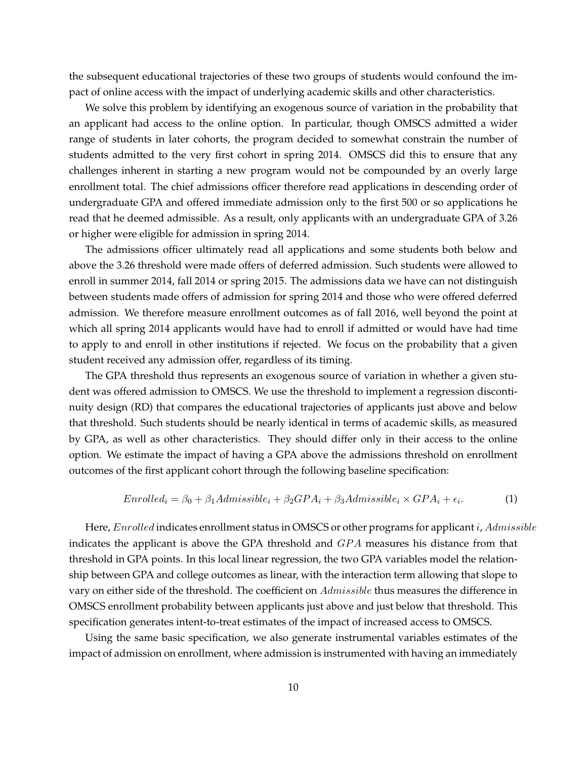the subsequent educational trajectories of these two groups of students would confound the impact of online access with the impact of underlying academic skills and other characteristics.

We solve this problem by identifying an exogenous source of variation in the probability that an applicant had access to the online option. In particular, though OMSCS admitted a wider range of students in later cohorts, the program decided to somewhat constrain the number of students admitted to the very first cohort in spring 2014. OMSCS did this to ensure that any challenges inherent in starting a new program would not be compounded by an overly large enrollment total. The chief admissions officer therefore read applications in descending order of undergraduate GPA and offered immediate admission only to the first 500 or so applications he read that he deemed admissible. As a result, only applicants with an undergraduate GPA of 3.26 or higher were eligible for admission in spring 2014.

The admissions officer ultimately read all applications and some students both below and above the 3.26 threshold were made offers of deferred admission. Such students were allowed to enroll in summer 2014, fall 2014 or spring 2015. The admissions data we have can not distinguish between students made offers of admission for spring 2014 and those who were offered deferred admission. We therefore measure enrollment outcomes as of fall 2016, well beyond the point at which all spring 2014 applicants would have had to enroll if admitted or would have had time to apply to and enroll in other institutions if rejected. We focus on the probability that a given student received any admission offer, regardless of its timing.

The GPA threshold thus represents an exogenous source of variation in whether a given student was offered admission to OMSCS. We use the threshold to implement a regression discontinuity design (RD) that compares the educational trajectories of applicants just above and below that threshold. Such students should be nearly identical in terms of academic skills, as measured by GPA, as well as other characteristics. They should differ only in their access to the online option. We estimate the impact of having a GPA above the admissions threshold on enrollment outcomes of the first applicant cohort through the following baseline specification:

<span id="page-11-0"></span>
$$
Enrolled_i = \beta_0 + \beta_1 Admissible_i + \beta_2 GPA_i + \beta_3 Admissible_i \times GPA_i + \epsilon_i. \tag{1}
$$

Here, Enrolled indicates enrollment status in OMSCS or other programs for applicant *i*, Admissible indicates the applicant is above the GPA threshold and  $GPA$  measures his distance from that threshold in GPA points. In this local linear regression, the two GPA variables model the relationship between GPA and college outcomes as linear, with the interaction term allowing that slope to vary on either side of the threshold. The coefficient on Admissible thus measures the difference in OMSCS enrollment probability between applicants just above and just below that threshold. This specification generates intent-to-treat estimates of the impact of increased access to OMSCS.

Using the same basic specification, we also generate instrumental variables estimates of the impact of admission on enrollment, where admission is instrumented with having an immediately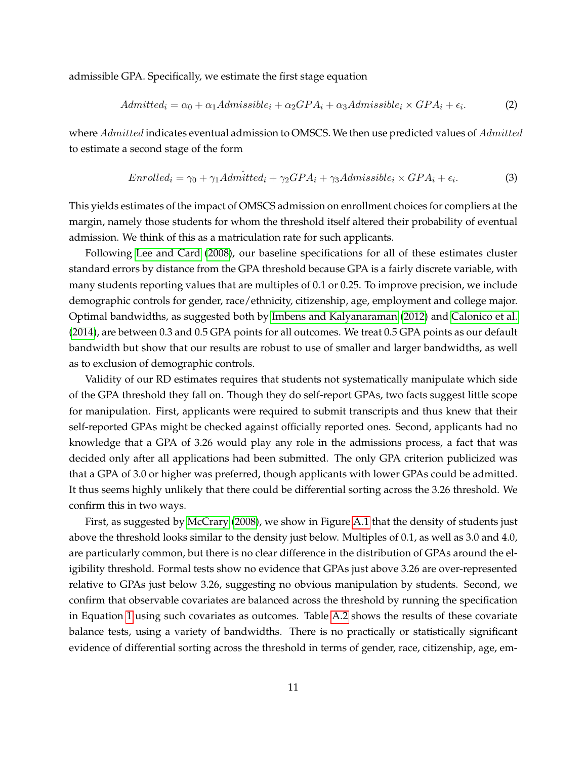admissible GPA. Specifically, we estimate the first stage equation

$$
Admitted_i = \alpha_0 + \alpha_1 Admissible_i + \alpha_2 GPA_i + \alpha_3 Admissible_i \times GPA_i + \epsilon_i.
$$
 (2)

where Admitted indicates eventual admission to OMSCS. We then use predicted values of Admitted to estimate a second stage of the form

$$
Enrolled_i = \gamma_0 + \gamma_1 Admitted_i + \gamma_2 GPA_i + \gamma_3 Admissible_i \times GPA_i + \epsilon_i. \tag{3}
$$

This yields estimates of the impact of OMSCS admission on enrollment choices for compliers at the margin, namely those students for whom the threshold itself altered their probability of eventual admission. We think of this as a matriculation rate for such applicants.

Following [Lee and Card](#page-17-11) [\(2008\)](#page-17-11), our baseline specifications for all of these estimates cluster standard errors by distance from the GPA threshold because GPA is a fairly discrete variable, with many students reporting values that are multiples of 0.1 or 0.25. To improve precision, we include demographic controls for gender, race/ethnicity, citizenship, age, employment and college major. Optimal bandwidths, as suggested both by [Imbens and Kalyanaraman](#page-17-12) [\(2012\)](#page-17-12) and [Calonico et al.](#page-17-13) [\(2014\)](#page-17-13), are between 0.3 and 0.5 GPA points for all outcomes. We treat 0.5 GPA points as our default bandwidth but show that our results are robust to use of smaller and larger bandwidths, as well as to exclusion of demographic controls.

Validity of our RD estimates requires that students not systematically manipulate which side of the GPA threshold they fall on. Though they do self-report GPAs, two facts suggest little scope for manipulation. First, applicants were required to submit transcripts and thus knew that their self-reported GPAs might be checked against officially reported ones. Second, applicants had no knowledge that a GPA of 3.26 would play any role in the admissions process, a fact that was decided only after all applications had been submitted. The only GPA criterion publicized was that a GPA of 3.0 or higher was preferred, though applicants with lower GPAs could be admitted. It thus seems highly unlikely that there could be differential sorting across the 3.26 threshold. We confirm this in two ways.

First, as suggested by [McCrary](#page-18-3) [\(2008\)](#page-18-3), we show in Figure [A.1](#page-29-0) that the density of students just above the threshold looks similar to the density just below. Multiples of 0.1, as well as 3.0 and 4.0, are particularly common, but there is no clear difference in the distribution of GPAs around the eligibility threshold. Formal tests show no evidence that GPAs just above 3.26 are over-represented relative to GPAs just below 3.26, suggesting no obvious manipulation by students. Second, we confirm that observable covariates are balanced across the threshold by running the specification in Equation [1](#page-11-0) using such covariates as outcomes. Table [A.2](#page-36-0) shows the results of these covariate balance tests, using a variety of bandwidths. There is no practically or statistically significant evidence of differential sorting across the threshold in terms of gender, race, citizenship, age, em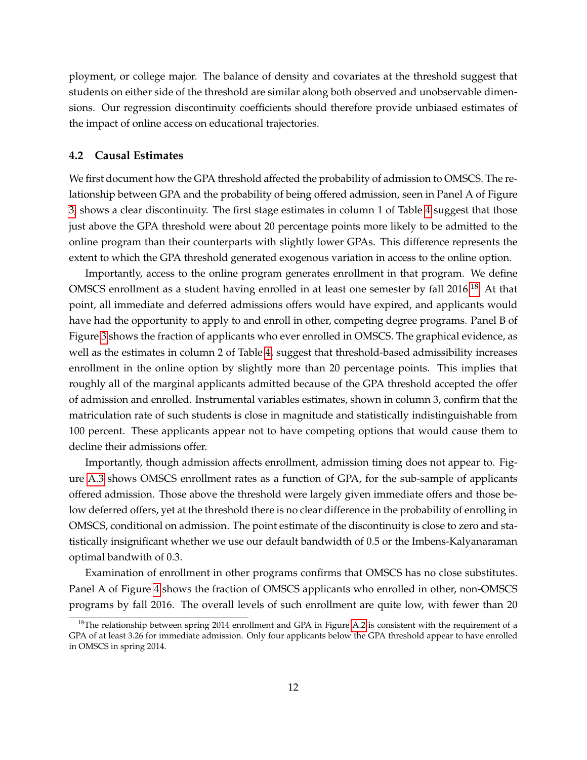ployment, or college major. The balance of density and covariates at the threshold suggest that students on either side of the threshold are similar along both observed and unobservable dimensions. Our regression discontinuity coefficients should therefore provide unbiased estimates of the impact of online access on educational trajectories.

#### **4.2 Causal Estimates**

We first document how the GPA threshold affected the probability of admission to OMSCS. The relationship between GPA and the probability of being offered admission, seen in Panel A of Figure [3,](#page-21-0) shows a clear discontinuity. The first stage estimates in column 1 of Table [4](#page-27-0) suggest that those just above the GPA threshold were about 20 percentage points more likely to be admitted to the online program than their counterparts with slightly lower GPAs. This difference represents the extent to which the GPA threshold generated exogenous variation in access to the online option.

Importantly, access to the online program generates enrollment in that program. We define OMSCS enrollment as a student having enrolled in at least one semester by fall 2016.<sup>[18](#page-13-0)</sup> At that point, all immediate and deferred admissions offers would have expired, and applicants would have had the opportunity to apply to and enroll in other, competing degree programs. Panel B of Figure [3](#page-21-0) shows the fraction of applicants who ever enrolled in OMSCS. The graphical evidence, as well as the estimates in column 2 of Table [4,](#page-27-0) suggest that threshold-based admissibility increases enrollment in the online option by slightly more than 20 percentage points. This implies that roughly all of the marginal applicants admitted because of the GPA threshold accepted the offer of admission and enrolled. Instrumental variables estimates, shown in column 3, confirm that the matriculation rate of such students is close in magnitude and statistically indistinguishable from 100 percent. These applicants appear not to have competing options that would cause them to decline their admissions offer.

Importantly, though admission affects enrollment, admission timing does not appear to. Figure [A.3](#page-31-0) shows OMSCS enrollment rates as a function of GPA, for the sub-sample of applicants offered admission. Those above the threshold were largely given immediate offers and those below deferred offers, yet at the threshold there is no clear difference in the probability of enrolling in OMSCS, conditional on admission. The point estimate of the discontinuity is close to zero and statistically insignificant whether we use our default bandwidth of 0.5 or the Imbens-Kalyanaraman optimal bandwith of 0.3.

Examination of enrollment in other programs confirms that OMSCS has no close substitutes. Panel A of Figure [4](#page-22-0) shows the fraction of OMSCS applicants who enrolled in other, non-OMSCS programs by fall 2016. The overall levels of such enrollment are quite low, with fewer than 20

<span id="page-13-0"></span> $18$ The relationship between spring 2014 enrollment and GPA in Figure [A.2](#page-30-0) is consistent with the requirement of a GPA of at least 3.26 for immediate admission. Only four applicants below the GPA threshold appear to have enrolled in OMSCS in spring 2014.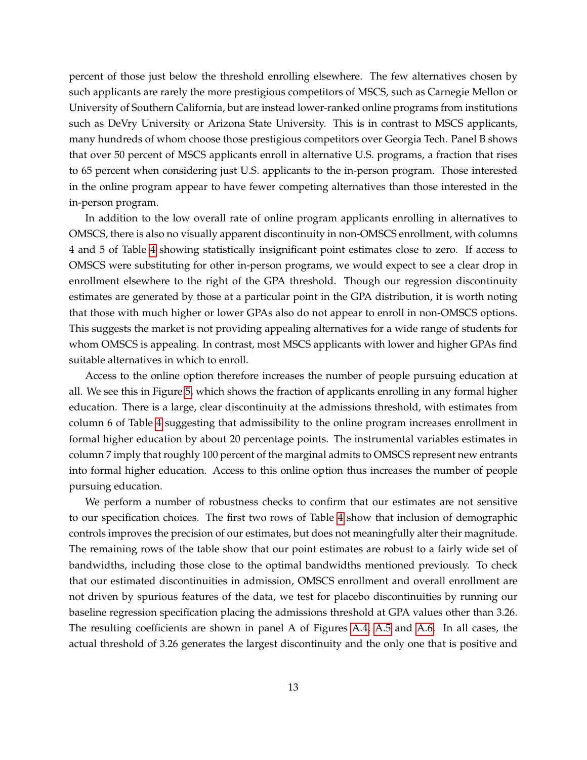percent of those just below the threshold enrolling elsewhere. The few alternatives chosen by such applicants are rarely the more prestigious competitors of MSCS, such as Carnegie Mellon or University of Southern California, but are instead lower-ranked online programs from institutions such as DeVry University or Arizona State University. This is in contrast to MSCS applicants, many hundreds of whom choose those prestigious competitors over Georgia Tech. Panel B shows that over 50 percent of MSCS applicants enroll in alternative U.S. programs, a fraction that rises to 65 percent when considering just U.S. applicants to the in-person program. Those interested in the online program appear to have fewer competing alternatives than those interested in the in-person program.

In addition to the low overall rate of online program applicants enrolling in alternatives to OMSCS, there is also no visually apparent discontinuity in non-OMSCS enrollment, with columns 4 and 5 of Table [4](#page-27-0) showing statistically insignificant point estimates close to zero. If access to OMSCS were substituting for other in-person programs, we would expect to see a clear drop in enrollment elsewhere to the right of the GPA threshold. Though our regression discontinuity estimates are generated by those at a particular point in the GPA distribution, it is worth noting that those with much higher or lower GPAs also do not appear to enroll in non-OMSCS options. This suggests the market is not providing appealing alternatives for a wide range of students for whom OMSCS is appealing. In contrast, most MSCS applicants with lower and higher GPAs find suitable alternatives in which to enroll.

Access to the online option therefore increases the number of people pursuing education at all. We see this in Figure [5,](#page-23-0) which shows the fraction of applicants enrolling in any formal higher education. There is a large, clear discontinuity at the admissions threshold, with estimates from column 6 of Table [4](#page-27-0) suggesting that admissibility to the online program increases enrollment in formal higher education by about 20 percentage points. The instrumental variables estimates in column 7 imply that roughly 100 percent of the marginal admits to OMSCS represent new entrants into formal higher education. Access to this online option thus increases the number of people pursuing education.

We perform a number of robustness checks to confirm that our estimates are not sensitive to our specification choices. The first two rows of Table [4](#page-27-0) show that inclusion of demographic controls improves the precision of our estimates, but does not meaningfully alter their magnitude. The remaining rows of the table show that our point estimates are robust to a fairly wide set of bandwidths, including those close to the optimal bandwidths mentioned previously. To check that our estimated discontinuities in admission, OMSCS enrollment and overall enrollment are not driven by spurious features of the data, we test for placebo discontinuities by running our baseline regression specification placing the admissions threshold at GPA values other than 3.26. The resulting coefficients are shown in panel A of Figures [A.4,](#page-32-0) [A.5](#page-33-0) and [A.6.](#page-34-0) In all cases, the actual threshold of 3.26 generates the largest discontinuity and the only one that is positive and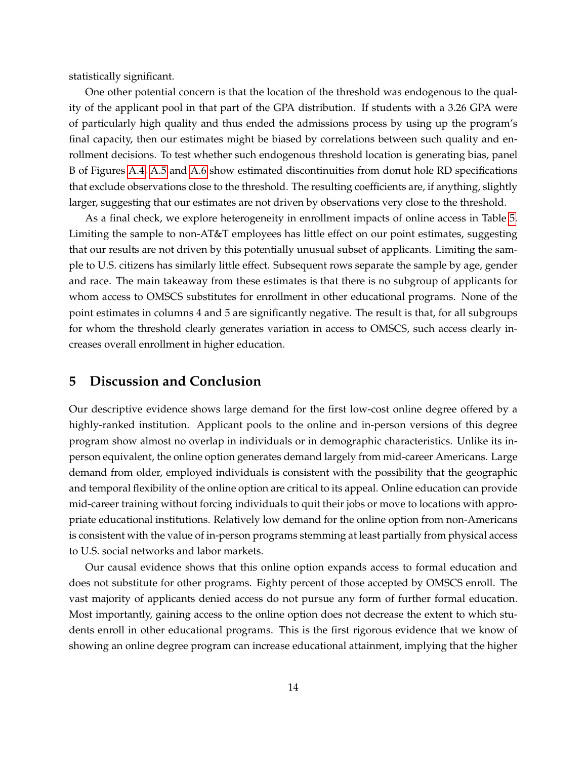statistically significant.

One other potential concern is that the location of the threshold was endogenous to the quality of the applicant pool in that part of the GPA distribution. If students with a 3.26 GPA were of particularly high quality and thus ended the admissions process by using up the program's final capacity, then our estimates might be biased by correlations between such quality and enrollment decisions. To test whether such endogenous threshold location is generating bias, panel B of Figures [A.4,](#page-32-0) [A.5](#page-33-0) and [A.6](#page-34-0) show estimated discontinuities from donut hole RD specifications that exclude observations close to the threshold. The resulting coefficients are, if anything, slightly larger, suggesting that our estimates are not driven by observations very close to the threshold.

As a final check, we explore heterogeneity in enrollment impacts of online access in Table [5.](#page-28-0) Limiting the sample to non-AT&T employees has little effect on our point estimates, suggesting that our results are not driven by this potentially unusual subset of applicants. Limiting the sample to U.S. citizens has similarly little effect. Subsequent rows separate the sample by age, gender and race. The main takeaway from these estimates is that there is no subgroup of applicants for whom access to OMSCS substitutes for enrollment in other educational programs. None of the point estimates in columns 4 and 5 are significantly negative. The result is that, for all subgroups for whom the threshold clearly generates variation in access to OMSCS, such access clearly increases overall enrollment in higher education.

## **5 Discussion and Conclusion**

Our descriptive evidence shows large demand for the first low-cost online degree offered by a highly-ranked institution. Applicant pools to the online and in-person versions of this degree program show almost no overlap in individuals or in demographic characteristics. Unlike its inperson equivalent, the online option generates demand largely from mid-career Americans. Large demand from older, employed individuals is consistent with the possibility that the geographic and temporal flexibility of the online option are critical to its appeal. Online education can provide mid-career training without forcing individuals to quit their jobs or move to locations with appropriate educational institutions. Relatively low demand for the online option from non-Americans is consistent with the value of in-person programs stemming at least partially from physical access to U.S. social networks and labor markets.

Our causal evidence shows that this online option expands access to formal education and does not substitute for other programs. Eighty percent of those accepted by OMSCS enroll. The vast majority of applicants denied access do not pursue any form of further formal education. Most importantly, gaining access to the online option does not decrease the extent to which students enroll in other educational programs. This is the first rigorous evidence that we know of showing an online degree program can increase educational attainment, implying that the higher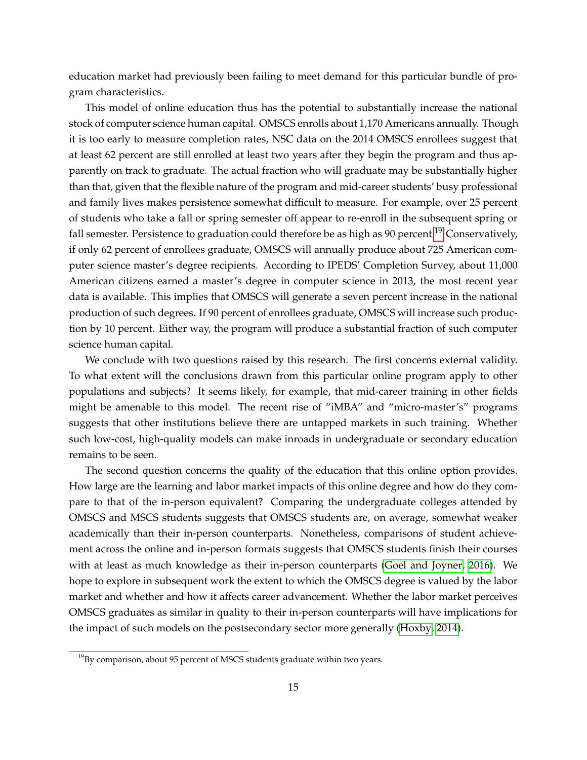education market had previously been failing to meet demand for this particular bundle of program characteristics.

This model of online education thus has the potential to substantially increase the national stock of computer science human capital. OMSCS enrolls about 1,170 Americans annually. Though it is too early to measure completion rates, NSC data on the 2014 OMSCS enrollees suggest that at least 62 percent are still enrolled at least two years after they begin the program and thus apparently on track to graduate. The actual fraction who will graduate may be substantially higher than that, given that the flexible nature of the program and mid-career students' busy professional and family lives makes persistence somewhat difficult to measure. For example, over 25 percent of students who take a fall or spring semester off appear to re-enroll in the subsequent spring or fall semester. Persistence to graduation could therefore be as high as 90 percent.<sup>[19](#page-16-0)</sup> Conservatively, if only 62 percent of enrollees graduate, OMSCS will annually produce about 725 American computer science master's degree recipients. According to IPEDS' Completion Survey, about 11,000 American citizens earned a master's degree in computer science in 2013, the most recent year data is available. This implies that OMSCS will generate a seven percent increase in the national production of such degrees. If 90 percent of enrollees graduate, OMSCS will increase such production by 10 percent. Either way, the program will produce a substantial fraction of such computer science human capital.

We conclude with two questions raised by this research. The first concerns external validity. To what extent will the conclusions drawn from this particular online program apply to other populations and subjects? It seems likely, for example, that mid-career training in other fields might be amenable to this model. The recent rise of "iMBA" and "micro-master's" programs suggests that other institutions believe there are untapped markets in such training. Whether such low-cost, high-quality models can make inroads in undergraduate or secondary education remains to be seen.

The second question concerns the quality of the education that this online option provides. How large are the learning and labor market impacts of this online degree and how do they compare to that of the in-person equivalent? Comparing the undergraduate colleges attended by OMSCS and MSCS students suggests that OMSCS students are, on average, somewhat weaker academically than their in-person counterparts. Nonetheless, comparisons of student achievement across the online and in-person formats suggests that OMSCS students finish their courses with at least as much knowledge as their in-person counterparts [\(Goel and Joyner, 2016\)](#page-17-7). We hope to explore in subsequent work the extent to which the OMSCS degree is valued by the labor market and whether and how it affects career advancement. Whether the labor market perceives OMSCS graduates as similar in quality to their in-person counterparts will have implications for the impact of such models on the postsecondary sector more generally [\(Hoxby, 2014\)](#page-17-14).

<span id="page-16-0"></span> $19By$  comparison, about 95 percent of MSCS students graduate within two years.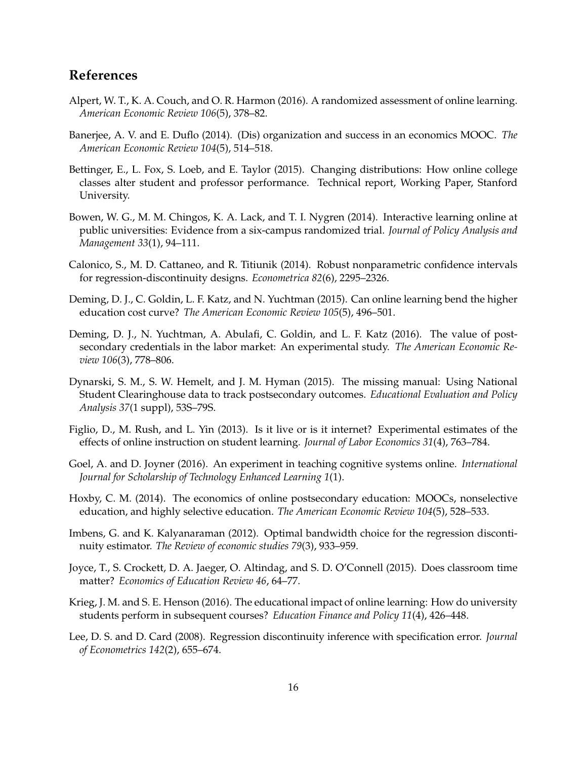# **References**

- <span id="page-17-2"></span>Alpert, W. T., K. A. Couch, and O. R. Harmon (2016). A randomized assessment of online learning. *American Economic Review 106*(5), 378–82.
- <span id="page-17-9"></span>Banerjee, A. V. and E. Duflo (2014). (Dis) organization and success in an economics MOOC. *The American Economic Review 104*(5), 514–518.
- <span id="page-17-4"></span>Bettinger, E., L. Fox, S. Loeb, and E. Taylor (2015). Changing distributions: How online college classes alter student and professor performance. Technical report, Working Paper, Stanford University.
- <span id="page-17-6"></span>Bowen, W. G., M. M. Chingos, K. A. Lack, and T. I. Nygren (2014). Interactive learning online at public universities: Evidence from a six-campus randomized trial. *Journal of Policy Analysis and Management 33*(1), 94–111.
- <span id="page-17-13"></span>Calonico, S., M. D. Cattaneo, and R. Titiunik (2014). Robust nonparametric confidence intervals for regression-discontinuity designs. *Econometrica 82*(6), 2295–2326.
- <span id="page-17-0"></span>Deming, D. J., C. Goldin, L. F. Katz, and N. Yuchtman (2015). Can online learning bend the higher education cost curve? *The American Economic Review 105*(5), 496–501.
- <span id="page-17-8"></span>Deming, D. J., N. Yuchtman, A. Abulafi, C. Goldin, and L. F. Katz (2016). The value of postsecondary credentials in the labor market: An experimental study. *The American Economic Review 106*(3), 778–806.
- <span id="page-17-10"></span>Dynarski, S. M., S. W. Hemelt, and J. M. Hyman (2015). The missing manual: Using National Student Clearinghouse data to track postsecondary outcomes. *Educational Evaluation and Policy Analysis 37*(1 suppl), 53S–79S.
- <span id="page-17-5"></span>Figlio, D., M. Rush, and L. Yin (2013). Is it live or is it internet? Experimental estimates of the effects of online instruction on student learning. *Journal of Labor Economics 31*(4), 763–784.
- <span id="page-17-7"></span>Goel, A. and D. Joyner (2016). An experiment in teaching cognitive systems online. *International Journal for Scholarship of Technology Enhanced Learning 1*(1).
- <span id="page-17-14"></span>Hoxby, C. M. (2014). The economics of online postsecondary education: MOOCs, nonselective education, and highly selective education. *The American Economic Review 104*(5), 528–533.
- <span id="page-17-12"></span>Imbens, G. and K. Kalyanaraman (2012). Optimal bandwidth choice for the regression discontinuity estimator. *The Review of economic studies 79*(3), 933–959.
- <span id="page-17-1"></span>Joyce, T., S. Crockett, D. A. Jaeger, O. Altindag, and S. D. O'Connell (2015). Does classroom time matter? *Economics of Education Review 46*, 64–77.
- <span id="page-17-3"></span>Krieg, J. M. and S. E. Henson (2016). The educational impact of online learning: How do university students perform in subsequent courses? *Education Finance and Policy 11*(4), 426–448.
- <span id="page-17-11"></span>Lee, D. S. and D. Card (2008). Regression discontinuity inference with specification error. *Journal of Econometrics 142*(2), 655–674.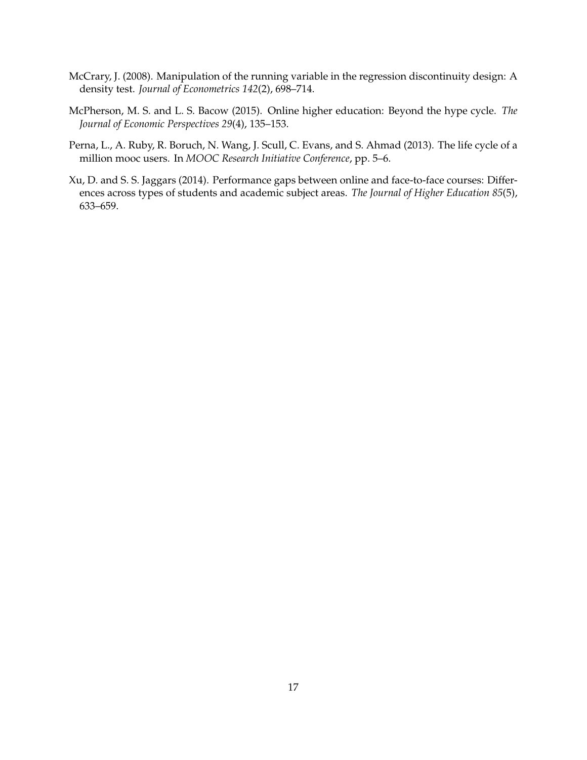- <span id="page-18-3"></span>McCrary, J. (2008). Manipulation of the running variable in the regression discontinuity design: A density test. *Journal of Econometrics 142*(2), 698–714.
- <span id="page-18-0"></span>McPherson, M. S. and L. S. Bacow (2015). Online higher education: Beyond the hype cycle. *The Journal of Economic Perspectives 29*(4), 135–153.
- <span id="page-18-2"></span>Perna, L., A. Ruby, R. Boruch, N. Wang, J. Scull, C. Evans, and S. Ahmad (2013). The life cycle of a million mooc users. In *MOOC Research Initiative Conference*, pp. 5–6.
- <span id="page-18-1"></span>Xu, D. and S. S. Jaggars (2014). Performance gaps between online and face-to-face courses: Differences across types of students and academic subject areas. *The Journal of Higher Education 85*(5), 633–659.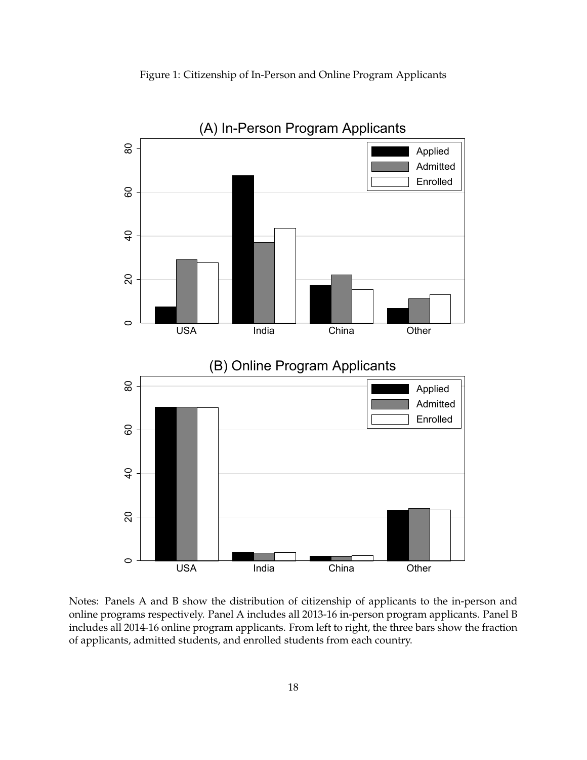

<span id="page-19-0"></span>

Notes: Panels A and B show the distribution of citizenship of applicants to the in-person and online programs respectively. Panel A includes all 2013-16 in-person program applicants. Panel B includes all 2014-16 online program applicants. From left to right, the three bars show the fraction of applicants, admitted students, and enrolled students from each country.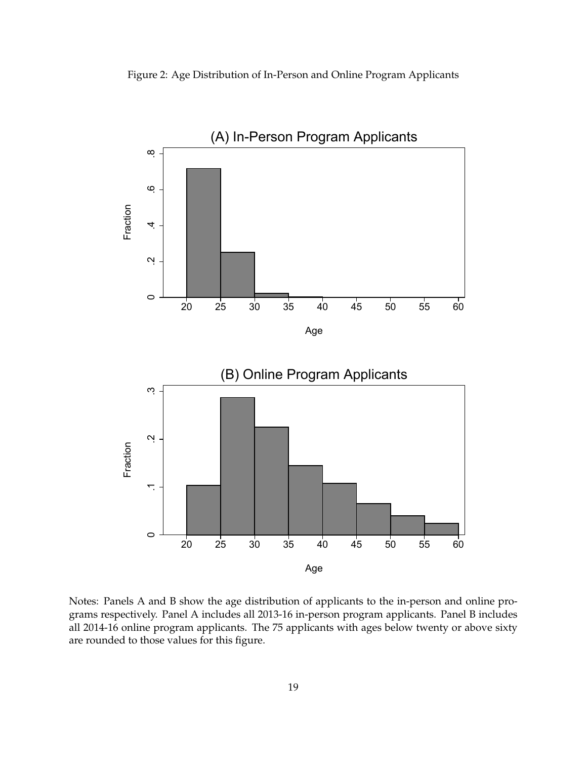<span id="page-20-0"></span>



Notes: Panels A and B show the age distribution of applicants to the in-person and online programs respectively. Panel A includes all 2013-16 in-person program applicants. Panel B includes all 2014-16 online program applicants. The 75 applicants with ages below twenty or above sixty are rounded to those values for this figure.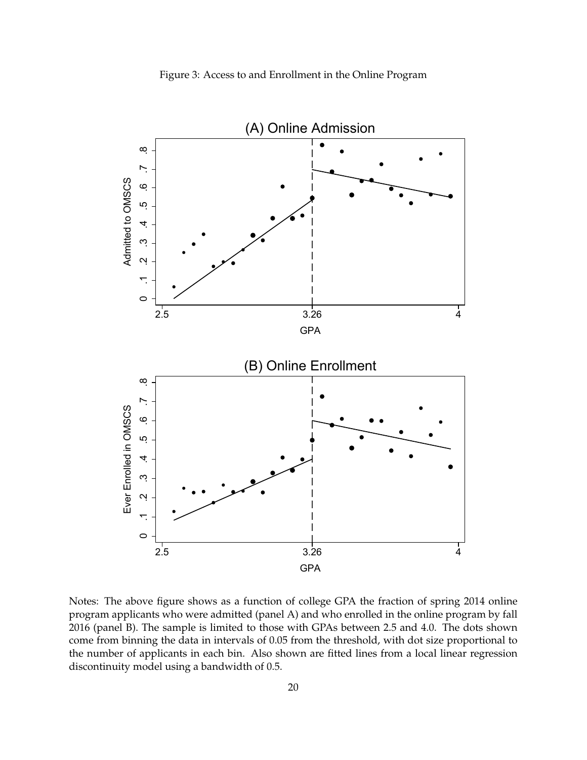<span id="page-21-0"></span>

Notes: The above figure shows as a function of college GPA the fraction of spring 2014 online program applicants who were admitted (panel A) and who enrolled in the online program by fall 2016 (panel B). The sample is limited to those with GPAs between 2.5 and 4.0. The dots shown come from binning the data in intervals of 0.05 from the threshold, with dot size proportional to the number of applicants in each bin. Also shown are fitted lines from a local linear regression discontinuity model using a bandwidth of 0.5.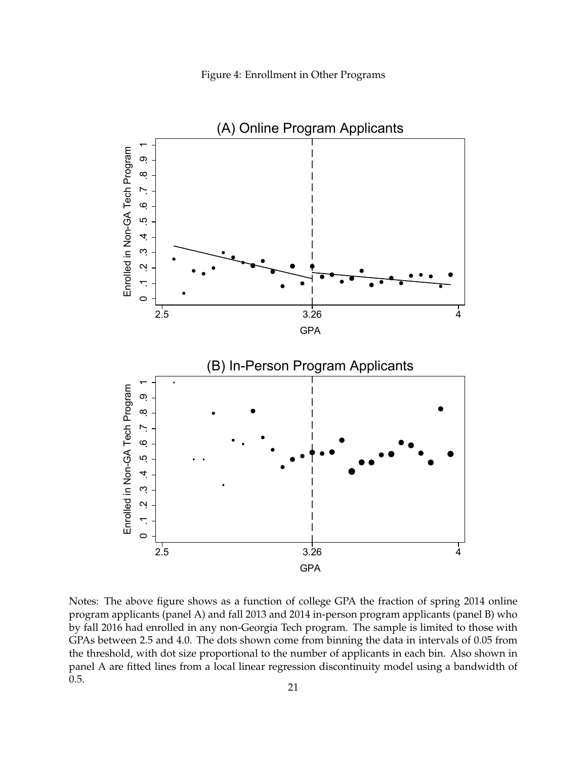<span id="page-22-0"></span>

Notes: The above figure shows as a function of college GPA the fraction of spring 2014 online program applicants (panel A) and fall 2013 and 2014 in-person program applicants (panel B) who by fall 2016 had enrolled in any non-Georgia Tech program. The sample is limited to those with GPAs between 2.5 and 4.0. The dots shown come from binning the data in intervals of 0.05 from the threshold, with dot size proportional to the number of applicants in each bin. Also shown in panel A are fitted lines from a local linear regression discontinuity model using a bandwidth of 0.5.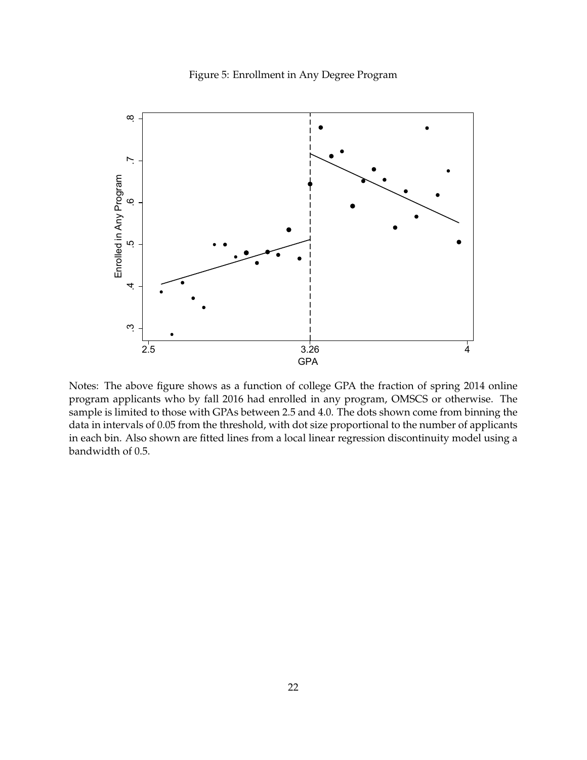

<span id="page-23-0"></span>

Notes: The above figure shows as a function of college GPA the fraction of spring 2014 online program applicants who by fall 2016 had enrolled in any program, OMSCS or otherwise. The sample is limited to those with GPAs between 2.5 and 4.0. The dots shown come from binning the data in intervals of 0.05 from the threshold, with dot size proportional to the number of applicants in each bin. Also shown are fitted lines from a local linear regression discontinuity model using a bandwidth of 0.5.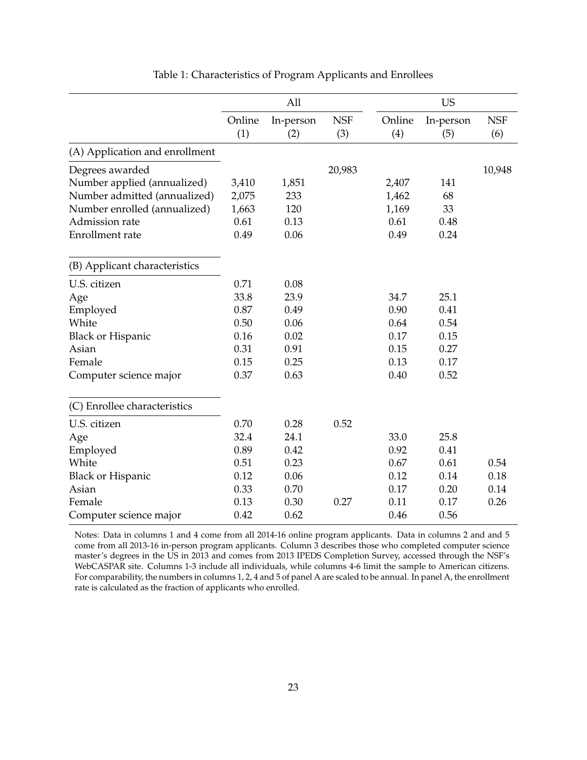<span id="page-24-0"></span>

|                                | All    |           |            |        | <b>US</b> |            |
|--------------------------------|--------|-----------|------------|--------|-----------|------------|
|                                | Online | In-person | <b>NSF</b> | Online | In-person | <b>NSF</b> |
|                                | (1)    | (2)       | (3)        | (4)    | (5)       | (6)        |
| (A) Application and enrollment |        |           |            |        |           |            |
| Degrees awarded                |        |           | 20,983     |        |           | 10,948     |
| Number applied (annualized)    | 3,410  | 1,851     |            | 2,407  | 141       |            |
| Number admitted (annualized)   | 2,075  | 233       |            | 1,462  | 68        |            |
| Number enrolled (annualized)   | 1,663  | 120       |            | 1,169  | 33        |            |
| Admission rate                 | 0.61   | 0.13      |            | 0.61   | 0.48      |            |
| Enrollment rate                | 0.49   | 0.06      |            | 0.49   | 0.24      |            |
| (B) Applicant characteristics  |        |           |            |        |           |            |
| U.S. citizen                   | 0.71   | 0.08      |            |        |           |            |
| Age                            | 33.8   | 23.9      |            | 34.7   | 25.1      |            |
| Employed                       | 0.87   | 0.49      |            | 0.90   | 0.41      |            |
| White                          | 0.50   | 0.06      |            | 0.64   | 0.54      |            |
| <b>Black or Hispanic</b>       | 0.16   | 0.02      |            | 0.17   | 0.15      |            |
| Asian                          | 0.31   | 0.91      |            | 0.15   | 0.27      |            |
| Female                         | 0.15   | 0.25      |            | 0.13   | 0.17      |            |
| Computer science major         | 0.37   | 0.63      |            | 0.40   | 0.52      |            |
| (C) Enrollee characteristics   |        |           |            |        |           |            |
| U.S. citizen                   | 0.70   | 0.28      | 0.52       |        |           |            |
| Age                            | 32.4   | 24.1      |            | 33.0   | 25.8      |            |
| Employed                       | 0.89   | 0.42      |            | 0.92   | 0.41      |            |
| White                          | 0.51   | 0.23      |            | 0.67   | 0.61      | 0.54       |
| <b>Black or Hispanic</b>       | 0.12   | 0.06      |            | 0.12   | 0.14      | 0.18       |
| Asian                          | 0.33   | 0.70      |            | 0.17   | 0.20      | 0.14       |
| Female                         | 0.13   | 0.30      | 0.27       | 0.11   | 0.17      | 0.26       |
| Computer science major         | 0.42   | 0.62      |            | 0.46   | 0.56      |            |

# Table 1: Characteristics of Program Applicants and Enrollees

Notes: Data in columns 1 and 4 come from all 2014-16 online program applicants. Data in columns 2 and and 5 come from all 2013-16 in-person program applicants. Column 3 describes those who completed computer science master's degrees in the US in 2013 and comes from 2013 IPEDS Completion Survey, accessed through the NSF's WebCASPAR site. Columns 1-3 include all individuals, while columns 4-6 limit the sample to American citizens. For comparability, the numbers in columns 1, 2, 4 and 5 of panel A are scaled to be annual. In panel A, the enrollment rate is calculated as the fraction of applicants who enrolled.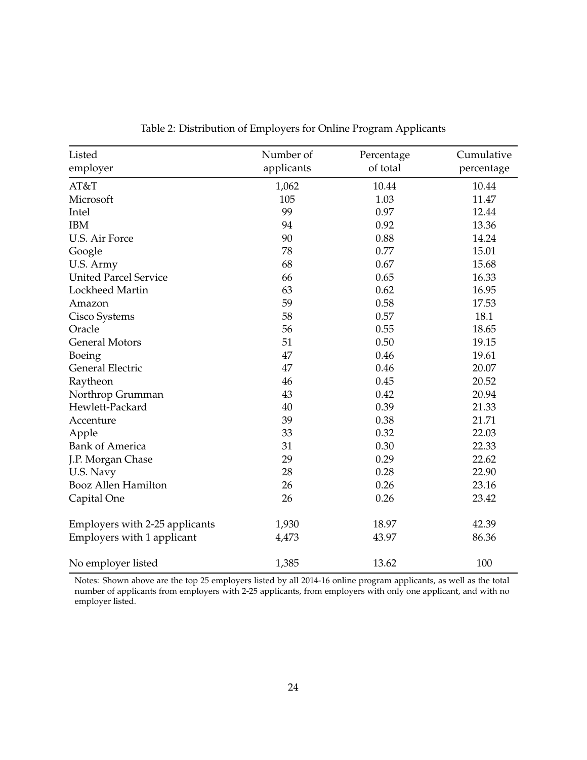<span id="page-25-0"></span>

| Listed                         | Number of  | Percentage | Cumulative |
|--------------------------------|------------|------------|------------|
| employer                       | applicants | of total   | percentage |
| AT&T                           | 1,062      | 10.44      | 10.44      |
| Microsoft                      | 105        | 1.03       | 11.47      |
| Intel                          | 99         | 0.97       | 12.44      |
| <b>IBM</b>                     | 94         | 0.92       | 13.36      |
| U.S. Air Force                 | 90         | 0.88       | 14.24      |
| Google                         | 78         | 0.77       | 15.01      |
| U.S. Army                      | 68         | 0.67       | 15.68      |
| <b>United Parcel Service</b>   | 66         | 0.65       | 16.33      |
| Lockheed Martin                | 63         | 0.62       | 16.95      |
| Amazon                         | 59         | 0.58       | 17.53      |
| Cisco Systems                  | 58         | 0.57       | 18.1       |
| Oracle                         | 56         | 0.55       | 18.65      |
| <b>General Motors</b>          | 51         | 0.50       | 19.15      |
| Boeing                         | 47         | 0.46       | 19.61      |
| <b>General Electric</b>        | 47         | 0.46       | 20.07      |
| Raytheon                       | 46         | 0.45       | 20.52      |
| Northrop Grumman               | 43         | 0.42       | 20.94      |
| Hewlett-Packard                | 40         | 0.39       | 21.33      |
| Accenture                      | 39         | 0.38       | 21.71      |
| Apple                          | 33         | 0.32       | 22.03      |
| <b>Bank of America</b>         | 31         | 0.30       | 22.33      |
| J.P. Morgan Chase              | 29         | 0.29       | 22.62      |
| U.S. Navy                      | 28         | 0.28       | 22.90      |
| <b>Booz Allen Hamilton</b>     | 26         | 0.26       | 23.16      |
| Capital One                    | 26         | 0.26       | 23.42      |
| Employers with 2-25 applicants | 1,930      | 18.97      | 42.39      |
| Employers with 1 applicant     | 4,473      | 43.97      | 86.36      |
| No employer listed             | 1,385      | 13.62      | 100        |

Table 2: Distribution of Employers for Online Program Applicants

Notes: Shown above are the top 25 employers listed by all 2014-16 online program applicants, as well as the total number of applicants from employers with 2-25 applicants, from employers with only one applicant, and with no employer listed.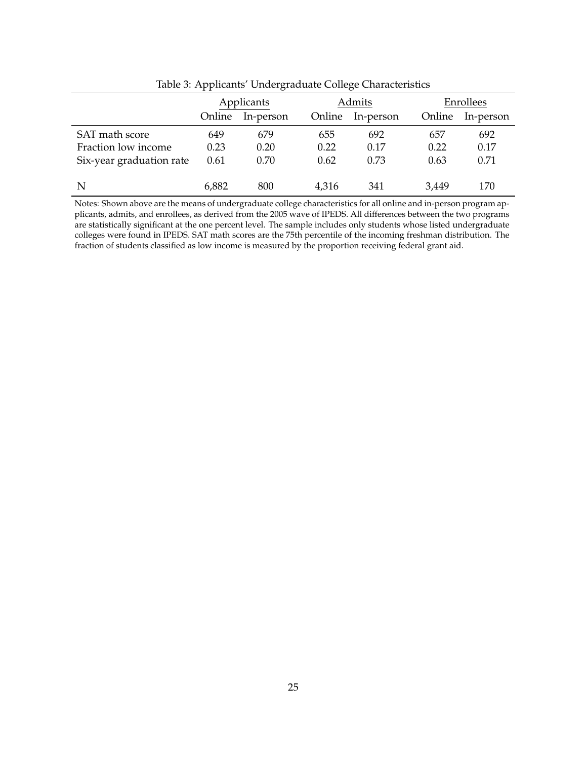<span id="page-26-0"></span>

|                          |        | Applicants |        | Admits    |        | Enrollees |  |  |
|--------------------------|--------|------------|--------|-----------|--------|-----------|--|--|
|                          | Online | In-person  | Online | In-person | Online | In-person |  |  |
| SAT math score           | 649    | 679        | 655    | 692       | 657    | 692       |  |  |
| Fraction low income      | 0.23   | 0.20       | 0.22   | 0.17      | 0.22   | 0.17      |  |  |
| Six-year graduation rate | 0.61   | 0.70       | 0.62   | 0.73      | 0.63   | 0.71      |  |  |
| N                        | 6,882  | 800        | 4,316  | 341       | 3,449  | 170       |  |  |

Table 3: Applicants' Undergraduate College Characteristics

Notes: Shown above are the means of undergraduate college characteristics for all online and in-person program applicants, admits, and enrollees, as derived from the 2005 wave of IPEDS. All differences between the two programs are statistically significant at the one percent level. The sample includes only students whose listed undergraduate colleges were found in IPEDS. SAT math scores are the 75th percentile of the incoming freshman distribution. The fraction of students classified as low income is measured by the proportion receiving federal grant aid.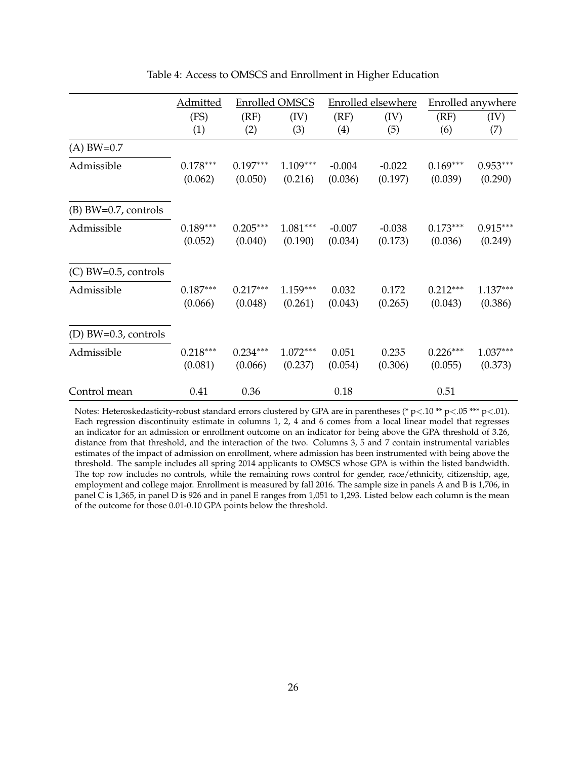<span id="page-27-0"></span>

|                         | Admitted              | <b>Enrolled OMSCS</b> |                       |                     | <b>Enrolled elsewhere</b> | Enrolled anywhere     |                       |  |
|-------------------------|-----------------------|-----------------------|-----------------------|---------------------|---------------------------|-----------------------|-----------------------|--|
|                         | (FS)<br>(1)           | (RF)<br>(2)           | (IV)<br>(3)           | (RF)<br>(4)         | (IV)<br>(5)               | (RF)<br>(6)           | (IV)<br>(7)           |  |
| $(A)$ BW=0.7            |                       |                       |                       |                     |                           |                       |                       |  |
| Admissible              | $0.178***$<br>(0.062) | $0.197***$<br>(0.050) | $1.109***$<br>(0.216) | $-0.004$<br>(0.036) | $-0.022$<br>(0.197)       | $0.169***$<br>(0.039) | $0.953***$<br>(0.290) |  |
| $(B)$ BW=0.7, controls  |                       |                       |                       |                     |                           |                       |                       |  |
| Admissible              | $0.189***$<br>(0.052) | $0.205***$<br>(0.040) | $1.081***$<br>(0.190) | $-0.007$<br>(0.034) | $-0.038$<br>(0.173)       | $0.173***$<br>(0.036) | $0.915***$<br>(0.249) |  |
| $(C)$ BW=0.5, controls  |                       |                       |                       |                     |                           |                       |                       |  |
| Admissible              | $0.187***$<br>(0.066) | $0.217***$<br>(0.048) | $1.159***$<br>(0.261) | 0.032<br>(0.043)    | 0.172<br>(0.265)          | $0.212***$<br>(0.043) | $1.137***$<br>(0.386) |  |
| (D) $BW=0.3$ , controls |                       |                       |                       |                     |                           |                       |                       |  |
| Admissible              | $0.218***$<br>(0.081) | $0.234***$<br>(0.066) | $1.072***$<br>(0.237) | 0.051<br>(0.054)    | 0.235<br>(0.306)          | $0.226***$<br>(0.055) | $1.037***$<br>(0.373) |  |
| Control mean            | 0.41                  | 0.36                  |                       | 0.18                |                           | 0.51                  |                       |  |

Table 4: Access to OMSCS and Enrollment in Higher Education

Notes: Heteroskedasticity-robust standard errors clustered by GPA are in parentheses (\* p<.10 \*\* p<.05 \*\*\* p<.01). Each regression discontinuity estimate in columns 1, 2, 4 and 6 comes from a local linear model that regresses an indicator for an admission or enrollment outcome on an indicator for being above the GPA threshold of 3.26, distance from that threshold, and the interaction of the two. Columns 3, 5 and 7 contain instrumental variables estimates of the impact of admission on enrollment, where admission has been instrumented with being above the threshold. The sample includes all spring 2014 applicants to OMSCS whose GPA is within the listed bandwidth. The top row includes no controls, while the remaining rows control for gender, race/ethnicity, citizenship, age, employment and college major. Enrollment is measured by fall 2016. The sample size in panels A and B is 1,706, in panel C is 1,365, in panel D is 926 and in panel E ranges from 1,051 to 1,293. Listed below each column is the mean of the outcome for those 0.01-0.10 GPA points below the threshold.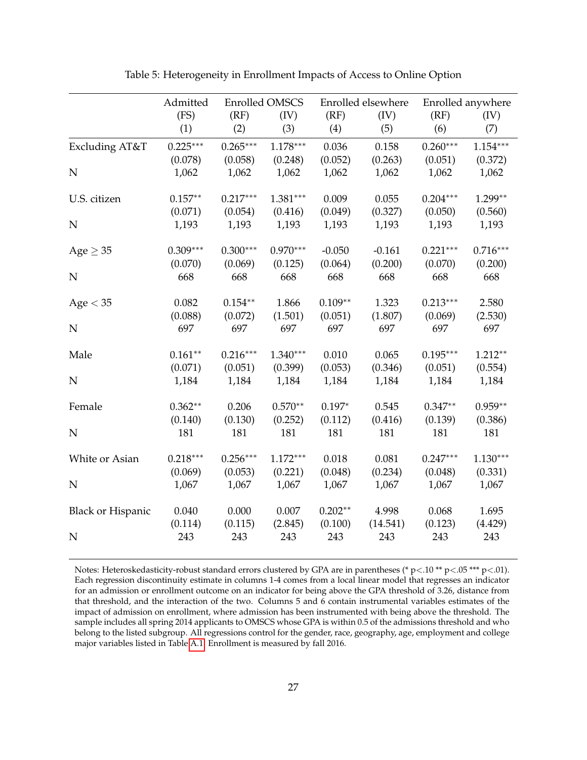<span id="page-28-0"></span>

|                          | Admitted<br>(FS)<br>(1) |                       | <b>Enrolled OMSCS</b><br>(IV)<br>(3) | (RF)<br>(4)          | Enrolled elsewhere<br>(IV)<br>(5) | (RF)<br>(6)           | Enrolled anywhere<br>(IV)<br>(7) |  |
|--------------------------|-------------------------|-----------------------|--------------------------------------|----------------------|-----------------------------------|-----------------------|----------------------------------|--|
| Excluding AT&T           | $0.225***$<br>(0.078)   | $0.265***$<br>(0.058) | $1.178***$<br>(0.248)                | 0.036<br>(0.052)     | 0.158<br>(0.263)                  | $0.260***$<br>(0.051) | $1.154***$<br>(0.372)            |  |
| $\mathbf N$              | 1,062                   | 1,062                 | 1,062                                | 1,062                | 1,062                             | 1,062                 | 1,062                            |  |
| U.S. citizen             | $0.157**$<br>(0.071)    | $0.217***$<br>(0.054) | $1.381***$<br>(0.416)                | 0.009<br>(0.049)     | 0.055<br>(0.327)                  | $0.204***$<br>(0.050) | $1.299**$<br>(0.560)             |  |
| $\mathbf N$              | 1,193                   | 1,193                 | 1,193                                | 1,193                | 1,193                             | 1,193                 | 1,193                            |  |
| Age $\geq$ 35            | $0.309***$<br>(0.070)   | $0.300***$<br>(0.069) | $0.970***$<br>(0.125)                | $-0.050$<br>(0.064)  | $-0.161$<br>(0.200)               | $0.221***$<br>(0.070) | $0.716***$<br>(0.200)            |  |
| N                        | 668                     | 668                   | 668                                  | 668                  | 668                               | 668                   | 668                              |  |
| Age < 35                 | 0.082<br>(0.088)        | $0.154**$<br>(0.072)  | 1.866<br>(1.501)                     | $0.109**$<br>(0.051) | 1.323<br>(1.807)                  | $0.213***$<br>(0.069) | 2.580<br>(2.530)                 |  |
| N                        | 697                     | 697                   | 697                                  | 697                  | 697                               | 697                   | 697                              |  |
| Male                     | $0.161**$<br>(0.071)    | $0.216***$<br>(0.051) | $1.340***$<br>(0.399)                | 0.010<br>(0.053)     | 0.065<br>(0.346)                  | $0.195***$<br>(0.051) | $1.212**$<br>(0.554)             |  |
| N                        | 1,184                   | 1,184                 | 1,184                                | 1,184                | 1,184                             | 1,184                 | 1,184                            |  |
| Female                   | $0.362**$<br>(0.140)    | 0.206<br>(0.130)      | $0.570**$<br>(0.252)                 | $0.197*$<br>(0.112)  | 0.545<br>(0.416)                  | $0.347**$<br>(0.139)  | $0.959**$<br>(0.386)             |  |
| $\mathbf N$              | 181                     | 181                   | 181                                  | 181                  | 181                               | 181                   | 181                              |  |
| White or Asian           | $0.218***$<br>(0.069)   | $0.256***$<br>(0.053) | $1.172***$<br>(0.221)                | 0.018<br>(0.048)     | 0.081<br>(0.234)                  | $0.247***$<br>(0.048) | $1.130***$<br>(0.331)            |  |
| N                        | 1,067                   | 1,067                 | 1,067                                | 1,067                | 1,067                             | 1,067                 | 1,067                            |  |
| <b>Black or Hispanic</b> | 0.040<br>(0.114)        | 0.000<br>(0.115)      | 0.007<br>(2.845)                     | $0.202**$<br>(0.100) | 4.998<br>(14.541)                 | 0.068<br>(0.123)      | 1.695<br>(4.429)                 |  |
| $\mathbf N$              | 243                     | 243                   | 243                                  | 243                  | 243                               | 243                   | 243                              |  |

Table 5: Heterogeneity in Enrollment Impacts of Access to Online Option

Notes: Heteroskedasticity-robust standard errors clustered by GPA are in parentheses (\* p<.10 \*\* p<.05 \*\*\* p<.01). Each regression discontinuity estimate in columns 1-4 comes from a local linear model that regresses an indicator for an admission or enrollment outcome on an indicator for being above the GPA threshold of 3.26, distance from that threshold, and the interaction of the two. Columns 5 and  $\tilde{6}$  contain instrumental variables estimates of the impact of admission on enrollment, where admission has been instrumented with being above the threshold. The sample includes all spring 2014 applicants to OMSCS whose GPA is within 0.5 of the admissions threshold and who belong to the listed subgroup. All regressions control for the gender, race, geography, age, employment and college major variables listed in Table [A.1.](#page-35-0) Enrollment is measured by fall 2016.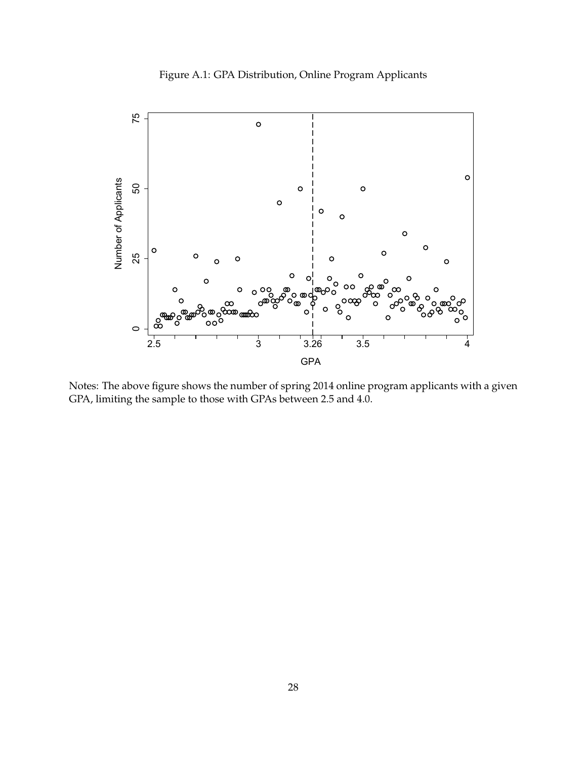# Figure A.1: GPA Distribution, Online Program Applicants

<span id="page-29-0"></span>

Notes: The above figure shows the number of spring 2014 online program applicants with a given GPA, limiting the sample to those with GPAs between 2.5 and 4.0.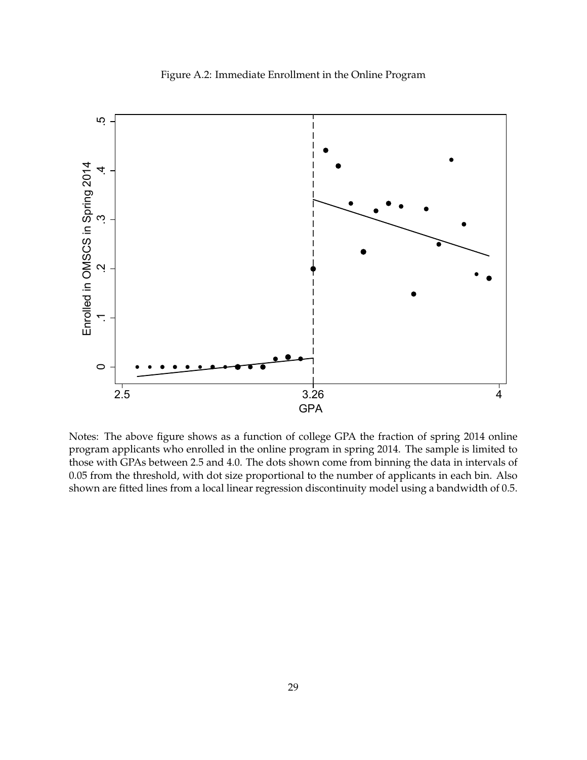## Figure A.2: Immediate Enrollment in the Online Program

<span id="page-30-0"></span>![](_page_30_Figure_1.jpeg)

Notes: The above figure shows as a function of college GPA the fraction of spring 2014 online program applicants who enrolled in the online program in spring 2014. The sample is limited to those with GPAs between 2.5 and 4.0. The dots shown come from binning the data in intervals of 0.05 from the threshold, with dot size proportional to the number of applicants in each bin. Also shown are fitted lines from a local linear regression discontinuity model using a bandwidth of 0.5.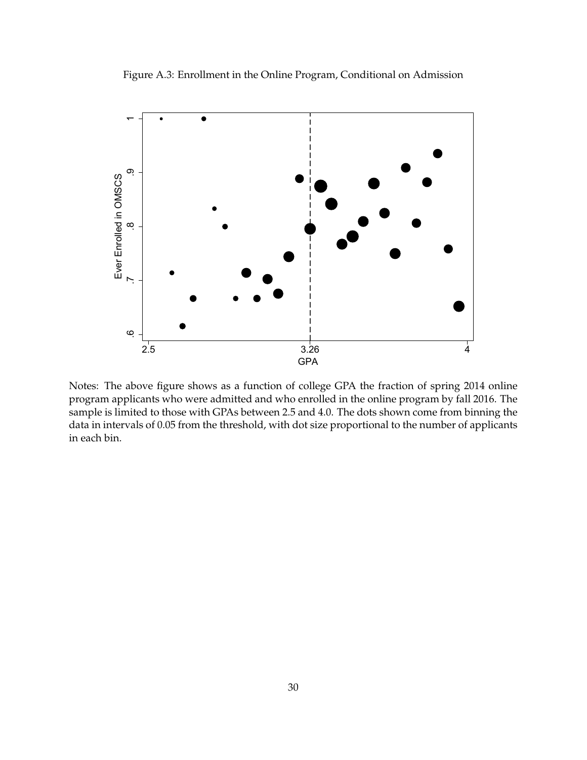<span id="page-31-0"></span>![](_page_31_Figure_0.jpeg)

![](_page_31_Figure_1.jpeg)

Notes: The above figure shows as a function of college GPA the fraction of spring 2014 online program applicants who were admitted and who enrolled in the online program by fall 2016. The sample is limited to those with GPAs between 2.5 and 4.0. The dots shown come from binning the data in intervals of 0.05 from the threshold, with dot size proportional to the number of applicants in each bin.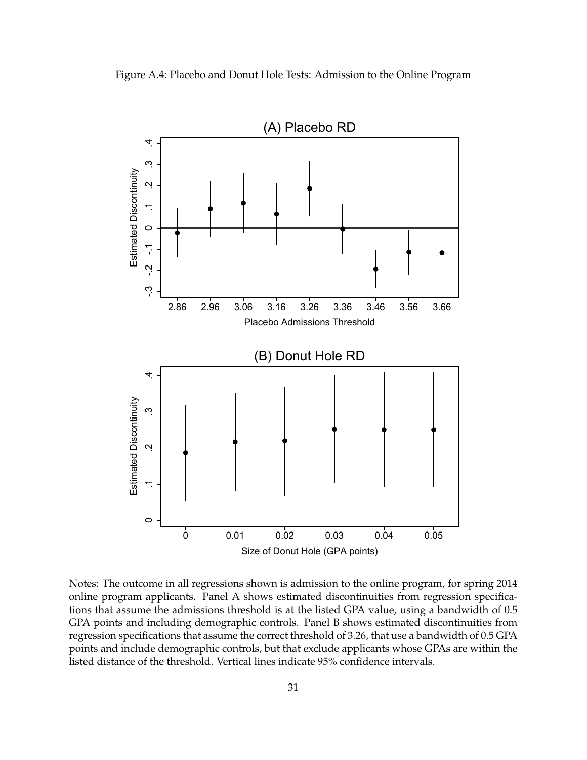<span id="page-32-0"></span>![](_page_32_Figure_0.jpeg)

![](_page_32_Figure_1.jpeg)

Notes: The outcome in all regressions shown is admission to the online program, for spring 2014 online program applicants. Panel A shows estimated discontinuities from regression specifications that assume the admissions threshold is at the listed GPA value, using a bandwidth of 0.5 GPA points and including demographic controls. Panel B shows estimated discontinuities from regression specifications that assume the correct threshold of 3.26, that use a bandwidth of 0.5 GPA points and include demographic controls, but that exclude applicants whose GPAs are within the listed distance of the threshold. Vertical lines indicate 95% confidence intervals.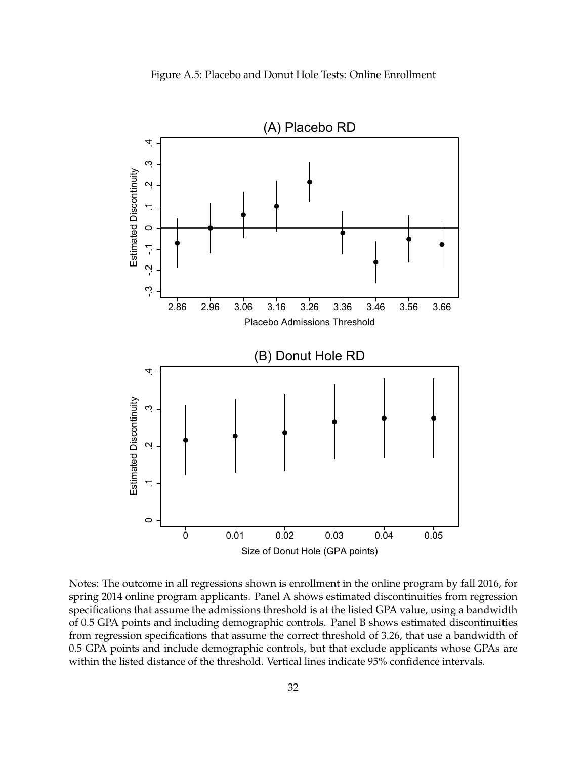![](_page_33_Figure_0.jpeg)

<span id="page-33-0"></span>![](_page_33_Figure_1.jpeg)

Notes: The outcome in all regressions shown is enrollment in the online program by fall 2016, for spring 2014 online program applicants. Panel A shows estimated discontinuities from regression specifications that assume the admissions threshold is at the listed GPA value, using a bandwidth of 0.5 GPA points and including demographic controls. Panel B shows estimated discontinuities from regression specifications that assume the correct threshold of 3.26, that use a bandwidth of 0.5 GPA points and include demographic controls, but that exclude applicants whose GPAs are within the listed distance of the threshold. Vertical lines indicate 95% confidence intervals.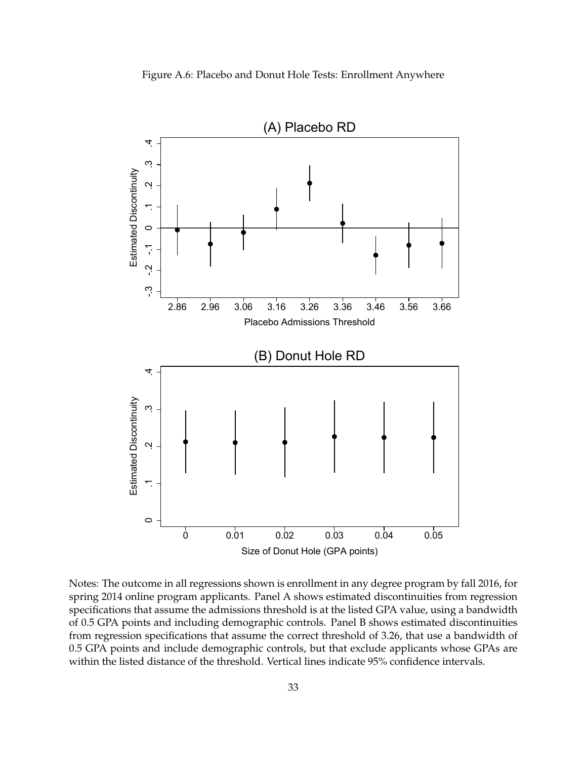![](_page_34_Figure_0.jpeg)

<span id="page-34-0"></span>![](_page_34_Figure_1.jpeg)

Notes: The outcome in all regressions shown is enrollment in any degree program by fall 2016, for spring 2014 online program applicants. Panel A shows estimated discontinuities from regression specifications that assume the admissions threshold is at the listed GPA value, using a bandwidth of 0.5 GPA points and including demographic controls. Panel B shows estimated discontinuities from regression specifications that assume the correct threshold of 3.26, that use a bandwidth of 0.5 GPA points and include demographic controls, but that exclude applicants whose GPAs are within the listed distance of the threshold. Vertical lines indicate 95% confidence intervals.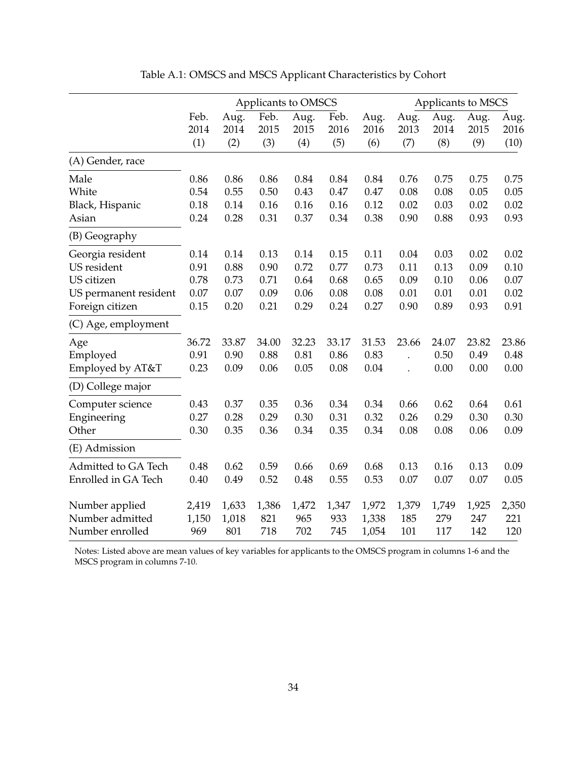<span id="page-35-0"></span>

|                       |       |       | Applicants to OMSCS | Applicants to MSCS |       |       |       |       |       |       |
|-----------------------|-------|-------|---------------------|--------------------|-------|-------|-------|-------|-------|-------|
|                       | Feb.  | Aug.  | Feb.                | Aug.               | Feb.  | Aug.  | Aug.  | Aug.  | Aug.  | Aug.  |
|                       | 2014  | 2014  | 2015                | 2015               | 2016  | 2016  | 2013  | 2014  | 2015  | 2016  |
|                       | (1)   | (2)   | (3)                 | (4)                | (5)   | (6)   | (7)   | (8)   | (9)   | (10)  |
| (A) Gender, race      |       |       |                     |                    |       |       |       |       |       |       |
| Male                  | 0.86  | 0.86  | 0.86                | 0.84               | 0.84  | 0.84  | 0.76  | 0.75  | 0.75  | 0.75  |
| White                 | 0.54  | 0.55  | 0.50                | 0.43               | 0.47  | 0.47  | 0.08  | 0.08  | 0.05  | 0.05  |
| Black, Hispanic       | 0.18  | 0.14  | 0.16                | 0.16               | 0.16  | 0.12  | 0.02  | 0.03  | 0.02  | 0.02  |
| Asian                 | 0.24  | 0.28  | 0.31                | 0.37               | 0.34  | 0.38  | 0.90  | 0.88  | 0.93  | 0.93  |
| (B) Geography         |       |       |                     |                    |       |       |       |       |       |       |
| Georgia resident      | 0.14  | 0.14  | 0.13                | 0.14               | 0.15  | 0.11  | 0.04  | 0.03  | 0.02  | 0.02  |
| US resident           | 0.91  | 0.88  | 0.90                | 0.72               | 0.77  | 0.73  | 0.11  | 0.13  | 0.09  | 0.10  |
| US citizen            | 0.78  | 0.73  | 0.71                | 0.64               | 0.68  | 0.65  | 0.09  | 0.10  | 0.06  | 0.07  |
| US permanent resident | 0.07  | 0.07  | 0.09                | 0.06               | 0.08  | 0.08  | 0.01  | 0.01  | 0.01  | 0.02  |
| Foreign citizen       | 0.15  | 0.20  | 0.21                | 0.29               | 0.24  | 0.27  | 0.90  | 0.89  | 0.93  | 0.91  |
| (C) Age, employment   |       |       |                     |                    |       |       |       |       |       |       |
| Age                   | 36.72 | 33.87 | 34.00               | 32.23              | 33.17 | 31.53 | 23.66 | 24.07 | 23.82 | 23.86 |
| Employed              | 0.91  | 0.90  | 0.88                | 0.81               | 0.86  | 0.83  |       | 0.50  | 0.49  | 0.48  |
| Employed by AT&T      | 0.23  | 0.09  | 0.06                | 0.05               | 0.08  | 0.04  |       | 0.00  | 0.00  | 0.00  |
| (D) College major     |       |       |                     |                    |       |       |       |       |       |       |
| Computer science      | 0.43  | 0.37  | 0.35                | 0.36               | 0.34  | 0.34  | 0.66  | 0.62  | 0.64  | 0.61  |
| Engineering           | 0.27  | 0.28  | 0.29                | 0.30               | 0.31  | 0.32  | 0.26  | 0.29  | 0.30  | 0.30  |
| Other                 | 0.30  | 0.35  | 0.36                | 0.34               | 0.35  | 0.34  | 0.08  | 0.08  | 0.06  | 0.09  |
| (E) Admission         |       |       |                     |                    |       |       |       |       |       |       |
| Admitted to GA Tech   | 0.48  | 0.62  | 0.59                | 0.66               | 0.69  | 0.68  | 0.13  | 0.16  | 0.13  | 0.09  |
| Enrolled in GA Tech   | 0.40  | 0.49  | 0.52                | 0.48               | 0.55  | 0.53  | 0.07  | 0.07  | 0.07  | 0.05  |
| Number applied        | 2,419 | 1,633 | 1,386               | 1,472              | 1,347 | 1,972 | 1,379 | 1,749 | 1,925 | 2,350 |
| Number admitted       | 1,150 | 1,018 | 821                 | 965                | 933   | 1,338 | 185   | 279   | 247   | 221   |
| Number enrolled       | 969   | 801   | 718                 | 702                | 745   | 1,054 | 101   | 117   | 142   | 120   |

Table A.1: OMSCS and MSCS Applicant Characteristics by Cohort

Notes: Listed above are mean values of key variables for applicants to the OMSCS program in columns 1-6 and the MSCS program in columns 7-10.